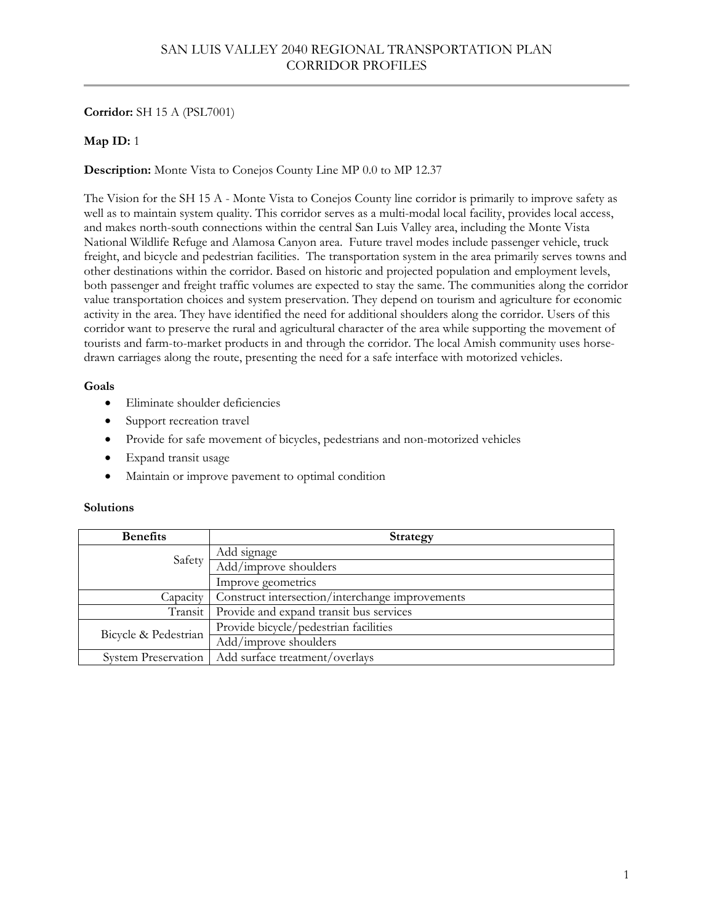# **Corridor:** SH 15 A (PSL7001)

# **Map ID:** 1

# **Description:** Monte Vista to Conejos County Line MP 0.0 to MP 12.37

The Vision for the SH 15 A - Monte Vista to Conejos County line corridor is primarily to improve safety as well as to maintain system quality. This corridor serves as a multi-modal local facility, provides local access, and makes north-south connections within the central San Luis Valley area, including the Monte Vista National Wildlife Refuge and Alamosa Canyon area. Future travel modes include passenger vehicle, truck freight, and bicycle and pedestrian facilities. The transportation system in the area primarily serves towns and other destinations within the corridor. Based on historic and projected population and employment levels, both passenger and freight traffic volumes are expected to stay the same. The communities along the corridor value transportation choices and system preservation. They depend on tourism and agriculture for economic activity in the area. They have identified the need for additional shoulders along the corridor. Users of this corridor want to preserve the rural and agricultural character of the area while supporting the movement of tourists and farm-to-market products in and through the corridor. The local Amish community uses horsedrawn carriages along the route, presenting the need for a safe interface with motorized vehicles.

### **Goals**

- Eliminate shoulder deficiencies
- Support recreation travel
- Provide for safe movement of bicycles, pedestrians and non-motorized vehicles
- Expand transit usage
- Maintain or improve pavement to optimal condition

| <b>Benefits</b>            | <b>Strategy</b>                                 |
|----------------------------|-------------------------------------------------|
| Safety                     | Add signage                                     |
|                            | Add/improve shoulders                           |
|                            | Improve geometrics                              |
| Capacity                   | Construct intersection/interchange improvements |
| Transit                    | Provide and expand transit bus services         |
| Bicycle & Pedestrian       | Provide bicycle/pedestrian facilities           |
|                            | Add/improve shoulders                           |
| <b>System Preservation</b> | Add surface treatment/overlays                  |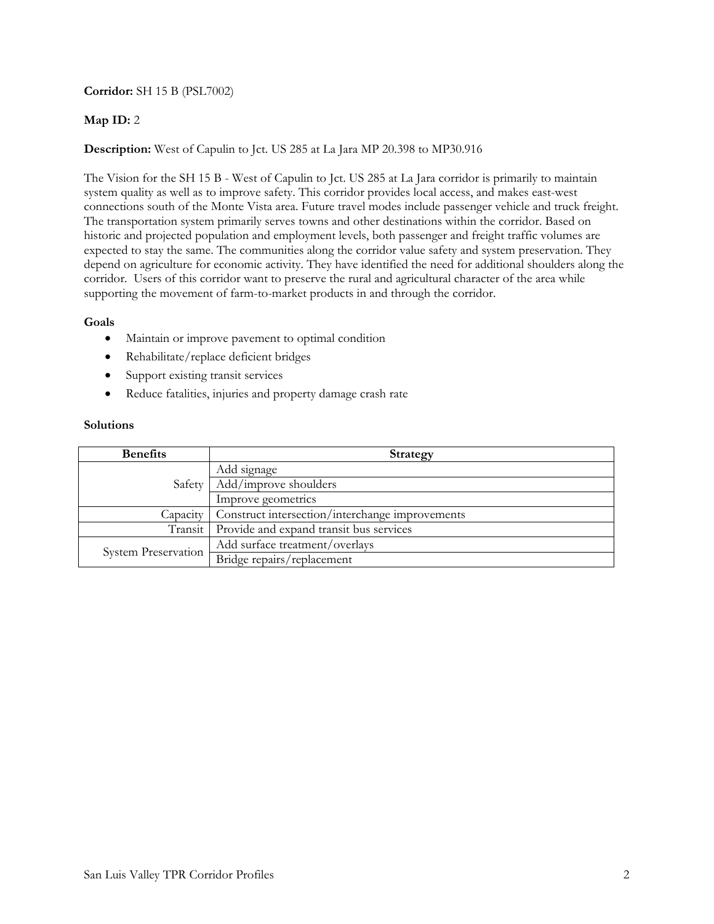# **Corridor:** SH 15 B (PSL7002)

# **Map ID:** 2

# **Description:** West of Capulin to Jct. US 285 at La Jara MP 20.398 to MP30.916

The Vision for the SH 15 B - West of Capulin to Jct. US 285 at La Jara corridor is primarily to maintain system quality as well as to improve safety. This corridor provides local access, and makes east-west connections south of the Monte Vista area. Future travel modes include passenger vehicle and truck freight. The transportation system primarily serves towns and other destinations within the corridor. Based on historic and projected population and employment levels, both passenger and freight traffic volumes are expected to stay the same. The communities along the corridor value safety and system preservation. They depend on agriculture for economic activity. They have identified the need for additional shoulders along the corridor. Users of this corridor want to preserve the rural and agricultural character of the area while supporting the movement of farm-to-market products in and through the corridor.

## **Goals**

- Maintain or improve pavement to optimal condition
- Rehabilitate/replace deficient bridges
- Support existing transit services
- Reduce fatalities, injuries and property damage crash rate

| <b>Benefits</b>            | <b>Strategy</b>                                 |
|----------------------------|-------------------------------------------------|
| Safety                     | Add signage                                     |
|                            | Add/improve shoulders                           |
|                            | Improve geometrics                              |
| Capacity                   | Construct intersection/interchange improvements |
| Transit                    | Provide and expand transit bus services         |
| <b>System Preservation</b> | Add surface treatment/overlays                  |
|                            | Bridge repairs/replacement                      |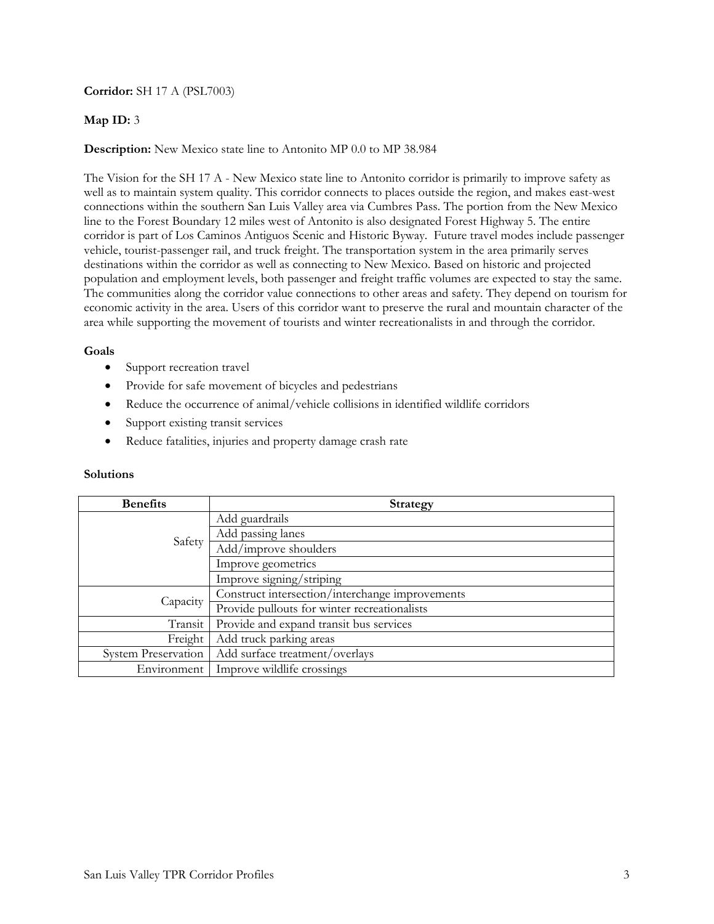## **Corridor:** SH 17 A (PSL7003)

## **Map ID:** 3

### **Description:** New Mexico state line to Antonito MP 0.0 to MP 38.984

The Vision for the SH 17 A - New Mexico state line to Antonito corridor is primarily to improve safety as well as to maintain system quality. This corridor connects to places outside the region, and makes east-west connections within the southern San Luis Valley area via Cumbres Pass. The portion from the New Mexico line to the Forest Boundary 12 miles west of Antonito is also designated Forest Highway 5. The entire corridor is part of Los Caminos Antiguos Scenic and Historic Byway.Future travel modes include passenger vehicle, tourist-passenger rail, and truck freight. The transportation system in the area primarily serves destinations within the corridor as well as connecting to New Mexico. Based on historic and projected population and employment levels, both passenger and freight traffic volumes are expected to stay the same. The communities along the corridor value connections to other areas and safety. They depend on tourism for economic activity in the area. Users of this corridor want to preserve the rural and mountain character of the area while supporting the movement of tourists and winter recreationalists in and through the corridor.

### **Goals**

- Support recreation travel
- Provide for safe movement of bicycles and pedestrians
- Reduce the occurrence of animal/vehicle collisions in identified wildlife corridors
- Support existing transit services
- Reduce fatalities, injuries and property damage crash rate

| <b>Benefits</b>            | <b>Strategy</b>                                 |
|----------------------------|-------------------------------------------------|
|                            | Add guardrails                                  |
|                            | Add passing lanes                               |
| Safety                     | Add/improve shoulders                           |
|                            | Improve geometrics                              |
|                            | Improve signing/striping                        |
| Capacity                   | Construct intersection/interchange improvements |
|                            | Provide pullouts for winter recreationalists    |
| Transit                    | Provide and expand transit bus services         |
| Freight                    | Add truck parking areas                         |
| <b>System Preservation</b> | Add surface treatment/overlays                  |
| Environment                | Improve wildlife crossings                      |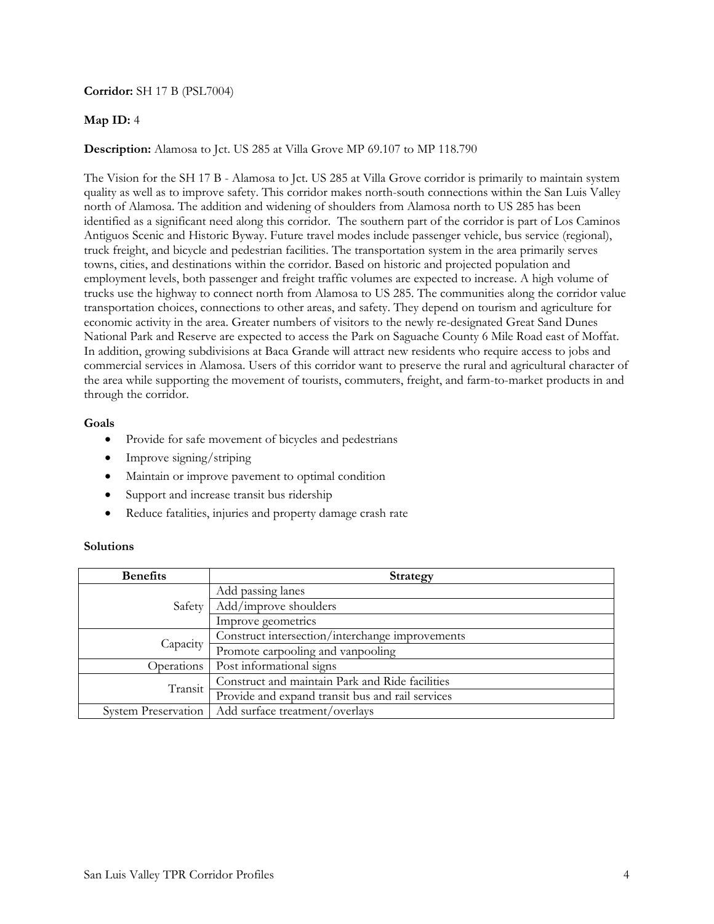## **Corridor:** SH 17 B (PSL7004)

## **Map ID:** 4

**Description:** Alamosa to Jct. US 285 at Villa Grove MP 69.107 to MP 118.790

The Vision for the SH 17 B - Alamosa to Jct. US 285 at Villa Grove corridor is primarily to maintain system quality as well as to improve safety. This corridor makes north-south connections within the San Luis Valley north of Alamosa. The addition and widening of shoulders from Alamosa north to US 285 has been identified as a significant need along this corridor. The southern part of the corridor is part of Los Caminos Antiguos Scenic and Historic Byway. Future travel modes include passenger vehicle, bus service (regional), truck freight, and bicycle and pedestrian facilities. The transportation system in the area primarily serves towns, cities, and destinations within the corridor. Based on historic and projected population and employment levels, both passenger and freight traffic volumes are expected to increase. A high volume of trucks use the highway to connect north from Alamosa to US 285. The communities along the corridor value transportation choices, connections to other areas, and safety. They depend on tourism and agriculture for economic activity in the area. Greater numbers of visitors to the newly re-designated Great Sand Dunes National Park and Reserve are expected to access the Park on Saguache County 6 Mile Road east of Moffat. In addition, growing subdivisions at Baca Grande will attract new residents who require access to jobs and commercial services in Alamosa. Users of this corridor want to preserve the rural and agricultural character of the area while supporting the movement of tourists, commuters, freight, and farm-to-market products in and through the corridor.

### **Goals**

- Provide for safe movement of bicycles and pedestrians
- $\bullet$  Improve signing/striping
- Maintain or improve pavement to optimal condition
- Support and increase transit bus ridership
- Reduce fatalities, injuries and property damage crash rate

| <b>Benefits</b>            | <b>Strategy</b>                                  |
|----------------------------|--------------------------------------------------|
| Safety                     | Add passing lanes                                |
|                            | Add/improve shoulders                            |
|                            | Improve geometrics                               |
| Capacity                   | Construct intersection/interchange improvements  |
|                            | Promote carpooling and vanpooling                |
| Operations                 | Post informational signs                         |
| Transit                    | Construct and maintain Park and Ride facilities  |
|                            | Provide and expand transit bus and rail services |
| <b>System Preservation</b> | Add surface treatment/overlays                   |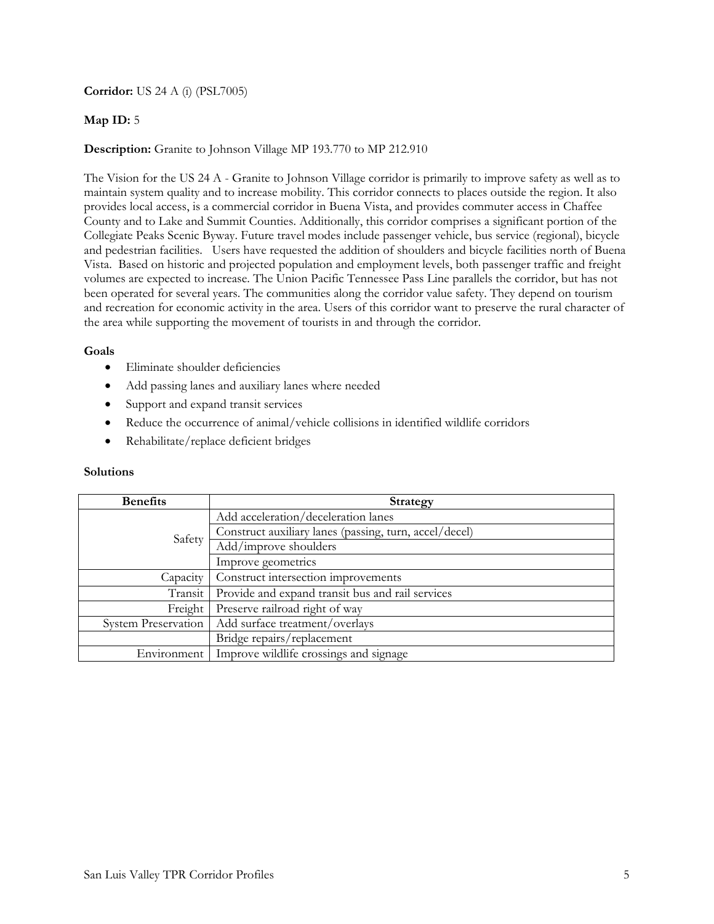**Corridor:** US 24 A (i) (PSL7005)

# **Map ID:** 5

# **Description:** Granite to Johnson Village MP 193.770 to MP 212.910

The Vision for the US 24 A - Granite to Johnson Village corridor is primarily to improve safety as well as to maintain system quality and to increase mobility. This corridor connects to places outside the region. It also provides local access, is a commercial corridor in Buena Vista, and provides commuter access in Chaffee County and to Lake and Summit Counties. Additionally, this corridor comprises a significant portion of the Collegiate Peaks Scenic Byway. Future travel modes include passenger vehicle, bus service (regional), bicycle and pedestrian facilities. Users have requested the addition of shoulders and bicycle facilities north of Buena Vista. Based on historic and projected population and employment levels, both passenger traffic and freight volumes are expected to increase. The Union Pacific Tennessee Pass Line parallels the corridor, but has not been operated for several years. The communities along the corridor value safety. They depend on tourism and recreation for economic activity in the area. Users of this corridor want to preserve the rural character of the area while supporting the movement of tourists in and through the corridor.

### **Goals**

- Eliminate shoulder deficiencies
- Add passing lanes and auxiliary lanes where needed
- Support and expand transit services
- Reduce the occurrence of animal/vehicle collisions in identified wildlife corridors
- Rehabilitate/replace deficient bridges

| <b>Benefits</b>            | <b>Strategy</b>                                        |
|----------------------------|--------------------------------------------------------|
| Safety                     | Add acceleration/deceleration lanes                    |
|                            | Construct auxiliary lanes (passing, turn, accel/decel) |
|                            | Add/improve shoulders                                  |
|                            | Improve geometrics                                     |
| Capacity                   | Construct intersection improvements                    |
| Transit                    | Provide and expand transit bus and rail services       |
| Freight                    | Preserve railroad right of way                         |
| <b>System Preservation</b> | Add surface treatment/overlays                         |
|                            | Bridge repairs/replacement                             |
| Environment                | Improve wildlife crossings and signage                 |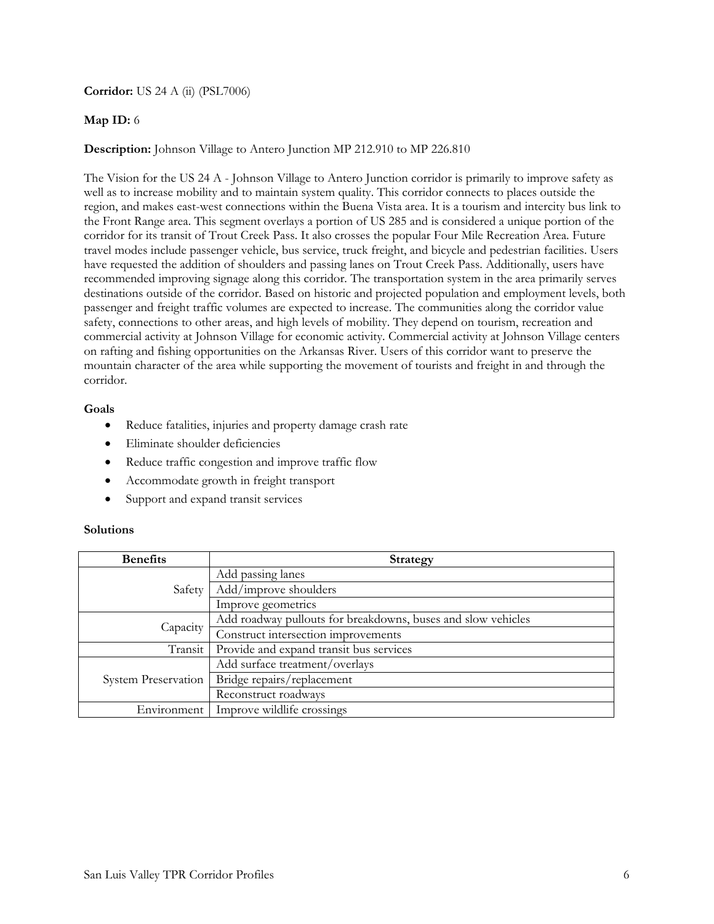**Corridor:** US 24 A (ii) (PSL7006)

# **Map ID:** 6

**Description:** Johnson Village to Antero Junction MP 212.910 to MP 226.810

The Vision for the US 24 A - Johnson Village to Antero Junction corridor is primarily to improve safety as well as to increase mobility and to maintain system quality. This corridor connects to places outside the region, and makes east-west connections within the Buena Vista area. It is a tourism and intercity bus link to the Front Range area. This segment overlays a portion of US 285 and is considered a unique portion of the corridor for its transit of Trout Creek Pass. It also crosses the popular Four Mile Recreation Area. Future travel modes include passenger vehicle, bus service, truck freight, and bicycle and pedestrian facilities. Users have requested the addition of shoulders and passing lanes on Trout Creek Pass. Additionally, users have recommended improving signage along this corridor. The transportation system in the area primarily serves destinations outside of the corridor. Based on historic and projected population and employment levels, both passenger and freight traffic volumes are expected to increase. The communities along the corridor value safety, connections to other areas, and high levels of mobility. They depend on tourism, recreation and commercial activity at Johnson Village for economic activity. Commercial activity at Johnson Village centers on rafting and fishing opportunities on the Arkansas River. Users of this corridor want to preserve the mountain character of the area while supporting the movement of tourists and freight in and through the corridor.

### **Goals**

- Reduce fatalities, injuries and property damage crash rate
- Eliminate shoulder deficiencies
- Reduce traffic congestion and improve traffic flow
- Accommodate growth in freight transport
- Support and expand transit services

| <b>Benefits</b>            | <b>Strategy</b>                                              |
|----------------------------|--------------------------------------------------------------|
| Safety                     | Add passing lanes                                            |
|                            | Add/improve shoulders                                        |
|                            | Improve geometrics                                           |
| Capacity                   | Add roadway pullouts for breakdowns, buses and slow vehicles |
|                            | Construct intersection improvements                          |
| Transit                    | Provide and expand transit bus services                      |
| <b>System Preservation</b> | Add surface treatment/overlays                               |
|                            | Bridge repairs/replacement                                   |
|                            | Reconstruct roadways                                         |
| Environment                | Improve wildlife crossings                                   |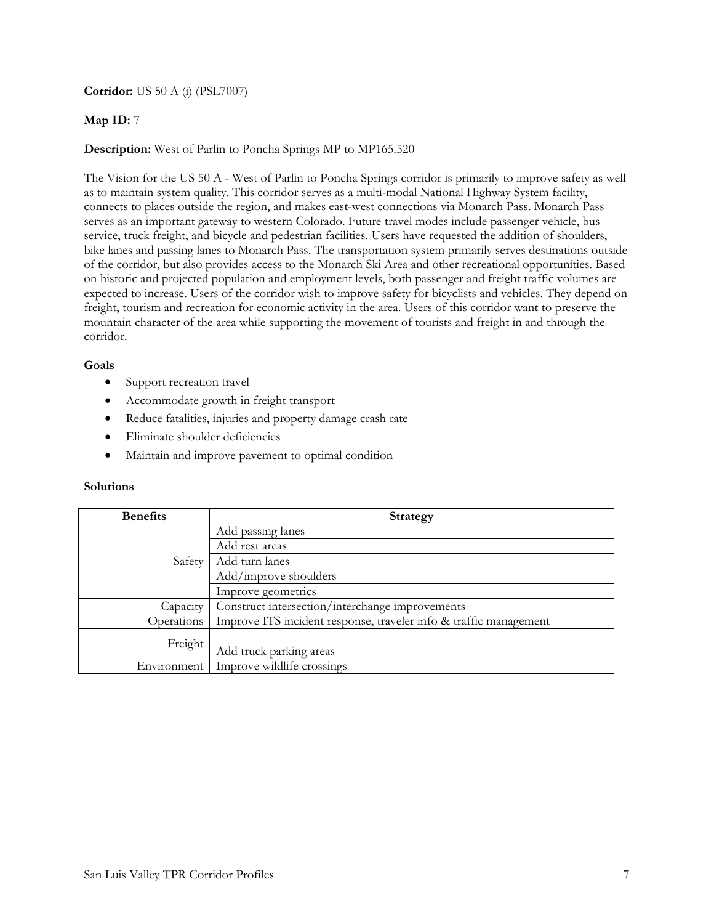**Corridor:** US 50 A (i) (PSL7007)

## **Map ID:** 7

**Description:** West of Parlin to Poncha Springs MP to MP165.520

The Vision for the US 50 A - West of Parlin to Poncha Springs corridor is primarily to improve safety as well as to maintain system quality. This corridor serves as a multi-modal National Highway System facility, connects to places outside the region, and makes east-west connections via Monarch Pass. Monarch Pass serves as an important gateway to western Colorado. Future travel modes include passenger vehicle, bus service, truck freight, and bicycle and pedestrian facilities. Users have requested the addition of shoulders, bike lanes and passing lanes to Monarch Pass. The transportation system primarily serves destinations outside of the corridor, but also provides access to the Monarch Ski Area and other recreational opportunities. Based on historic and projected population and employment levels, both passenger and freight traffic volumes are expected to increase. Users of the corridor wish to improve safety for bicyclists and vehicles. They depend on freight, tourism and recreation for economic activity in the area. Users of this corridor want to preserve the mountain character of the area while supporting the movement of tourists and freight in and through the corridor.

## **Goals**

- Support recreation travel
- Accommodate growth in freight transport
- Reduce fatalities, injuries and property damage crash rate
- Eliminate shoulder deficiencies
- Maintain and improve pavement to optimal condition

| <b>Benefits</b> | <b>Strategy</b>                                                   |
|-----------------|-------------------------------------------------------------------|
| Safety          | Add passing lanes                                                 |
|                 | Add rest areas                                                    |
|                 | Add turn lanes                                                    |
|                 | Add/improve shoulders                                             |
|                 | Improve geometrics                                                |
| Capacity        | Construct intersection/interchange improvements                   |
| Operations      | Improve ITS incident response, traveler info & traffic management |
| Freight         |                                                                   |
|                 | Add truck parking areas                                           |
| Environment     | Improve wildlife crossings                                        |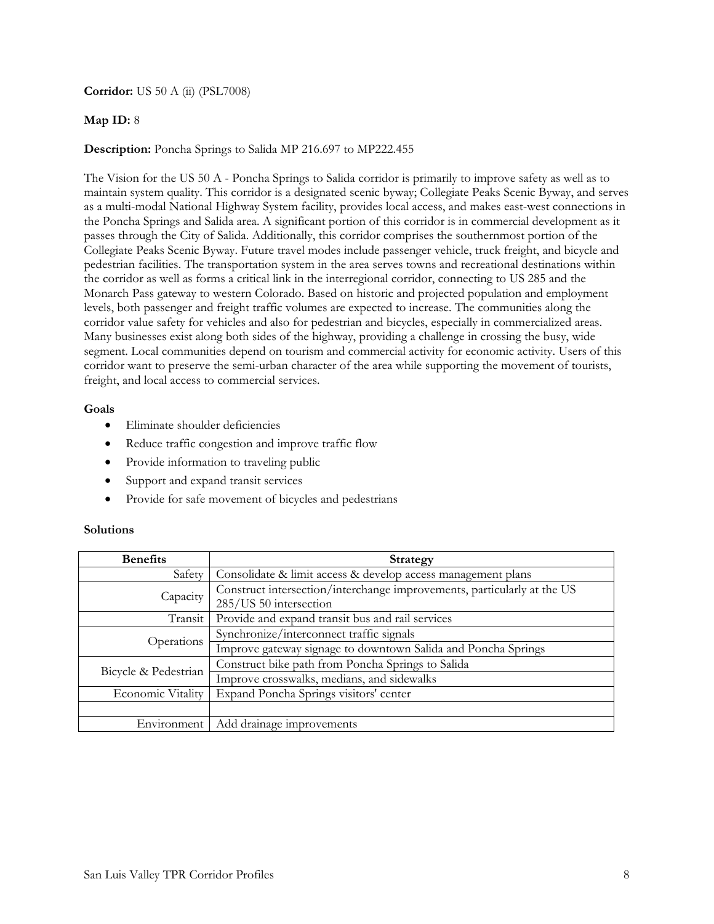**Corridor:** US 50 A (ii) (PSL7008)

# **Map ID:** 8

**Description:** Poncha Springs to Salida MP 216.697 to MP222.455

The Vision for the US 50 A - Poncha Springs to Salida corridor is primarily to improve safety as well as to maintain system quality. This corridor is a designated scenic byway; Collegiate Peaks Scenic Byway, and serves as a multi-modal National Highway System facility, provides local access, and makes east-west connections in the Poncha Springs and Salida area. A significant portion of this corridor is in commercial development as it passes through the City of Salida. Additionally, this corridor comprises the southernmost portion of the Collegiate Peaks Scenic Byway. Future travel modes include passenger vehicle, truck freight, and bicycle and pedestrian facilities. The transportation system in the area serves towns and recreational destinations within the corridor as well as forms a critical link in the interregional corridor, connecting to US 285 and the Monarch Pass gateway to western Colorado. Based on historic and projected population and employment levels, both passenger and freight traffic volumes are expected to increase. The communities along the corridor value safety for vehicles and also for pedestrian and bicycles, especially in commercialized areas. Many businesses exist along both sides of the highway, providing a challenge in crossing the busy, wide segment. Local communities depend on tourism and commercial activity for economic activity. Users of this corridor want to preserve the semi-urban character of the area while supporting the movement of tourists, freight, and local access to commercial services.

## **Goals**

- Eliminate shoulder deficiencies
- Reduce traffic congestion and improve traffic flow
- Provide information to traveling public
- Support and expand transit services
- Provide for safe movement of bicycles and pedestrians

| <b>Benefits</b>      | <b>Strategy</b>                                                                                   |
|----------------------|---------------------------------------------------------------------------------------------------|
| Safety               | Consolidate & limit access & develop access management plans                                      |
| Capacity             | Construct intersection/interchange improvements, particularly at the US<br>285/US 50 intersection |
| Transit              | Provide and expand transit bus and rail services                                                  |
| Operations           | Synchronize/interconnect traffic signals                                                          |
|                      | Improve gateway signage to downtown Salida and Poncha Springs                                     |
| Bicycle & Pedestrian | Construct bike path from Poncha Springs to Salida                                                 |
|                      | Improve crosswalks, medians, and sidewalks                                                        |
| Economic Vitality    | Expand Poncha Springs visitors' center                                                            |
|                      |                                                                                                   |
| Environment          | Add drainage improvements                                                                         |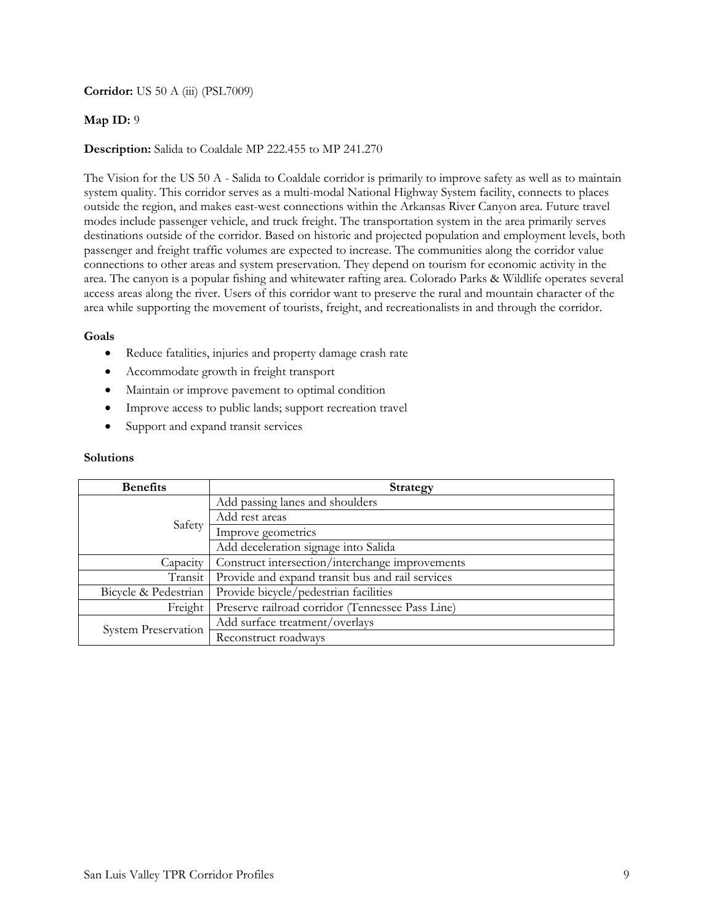**Corridor:** US 50 A (iii) (PSL7009)

## **Map ID:** 9

## **Description:** Salida to Coaldale MP 222.455 to MP 241.270

The Vision for the US 50 A - Salida to Coaldale corridor is primarily to improve safety as well as to maintain system quality. This corridor serves as a multi-modal National Highway System facility, connects to places outside the region, and makes east-west connections within the Arkansas River Canyon area. Future travel modes include passenger vehicle, and truck freight. The transportation system in the area primarily serves destinations outside of the corridor. Based on historic and projected population and employment levels, both passenger and freight traffic volumes are expected to increase. The communities along the corridor value connections to other areas and system preservation. They depend on tourism for economic activity in the area. The canyon is a popular fishing and whitewater rafting area. Colorado Parks & Wildlife operates several access areas along the river. Users of this corridor want to preserve the rural and mountain character of the area while supporting the movement of tourists, freight, and recreationalists in and through the corridor.

### **Goals**

- Reduce fatalities, injuries and property damage crash rate
- Accommodate growth in freight transport
- Maintain or improve pavement to optimal condition
- Improve access to public lands; support recreation travel
- Support and expand transit services

| <b>Benefits</b>      | <b>Strategy</b>                                  |
|----------------------|--------------------------------------------------|
| Safety               | Add passing lanes and shoulders                  |
|                      | Add rest areas                                   |
|                      | Improve geometrics                               |
|                      | Add deceleration signage into Salida             |
| Capacity             | Construct intersection/interchange improvements  |
| Transit              | Provide and expand transit bus and rail services |
| Bicycle & Pedestrian | Provide bicycle/pedestrian facilities            |
| Freight              | Preserve railroad corridor (Tennessee Pass Line) |
| System Preservation  | Add surface treatment/overlays                   |
|                      | Reconstruct roadways                             |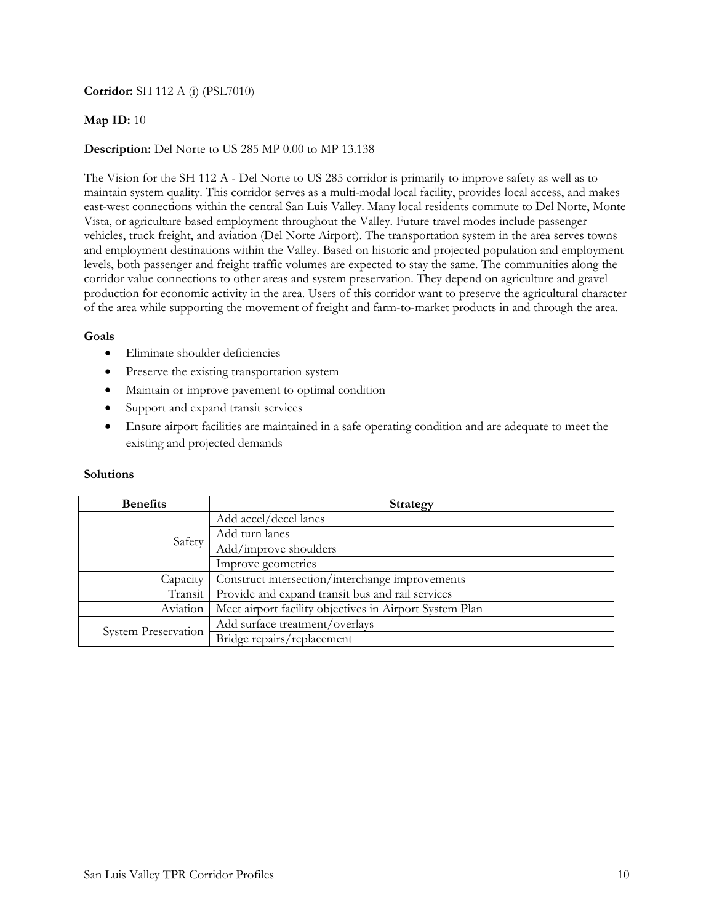# **Corridor:** SH 112 A (i) (PSL7010)

## **Map ID:** 10

## **Description:** Del Norte to US 285 MP 0.00 to MP 13.138

The Vision for the SH 112 A - Del Norte to US 285 corridor is primarily to improve safety as well as to maintain system quality. This corridor serves as a multi-modal local facility, provides local access, and makes east-west connections within the central San Luis Valley. Many local residents commute to Del Norte, Monte Vista, or agriculture based employment throughout the Valley. Future travel modes include passenger vehicles, truck freight, and aviation (Del Norte Airport). The transportation system in the area serves towns and employment destinations within the Valley. Based on historic and projected population and employment levels, both passenger and freight traffic volumes are expected to stay the same. The communities along the corridor value connections to other areas and system preservation. They depend on agriculture and gravel production for economic activity in the area. Users of this corridor want to preserve the agricultural character of the area while supporting the movement of freight and farm-to-market products in and through the area.

### **Goals**

- Eliminate shoulder deficiencies
- Preserve the existing transportation system
- Maintain or improve pavement to optimal condition
- Support and expand transit services
- Ensure airport facilities are maintained in a safe operating condition and are adequate to meet the existing and projected demands

| <b>Benefits</b>            | <b>Strategy</b>                                         |
|----------------------------|---------------------------------------------------------|
| Safety                     | Add accel/decel lanes                                   |
|                            | Add turn lanes                                          |
|                            | Add/improve shoulders                                   |
|                            | Improve geometrics                                      |
| Capacity                   | Construct intersection/interchange improvements         |
| Transit                    | Provide and expand transit bus and rail services        |
| Aviation                   | Meet airport facility objectives in Airport System Plan |
| <b>System Preservation</b> | Add surface treatment/overlays                          |
|                            | Bridge repairs/replacement                              |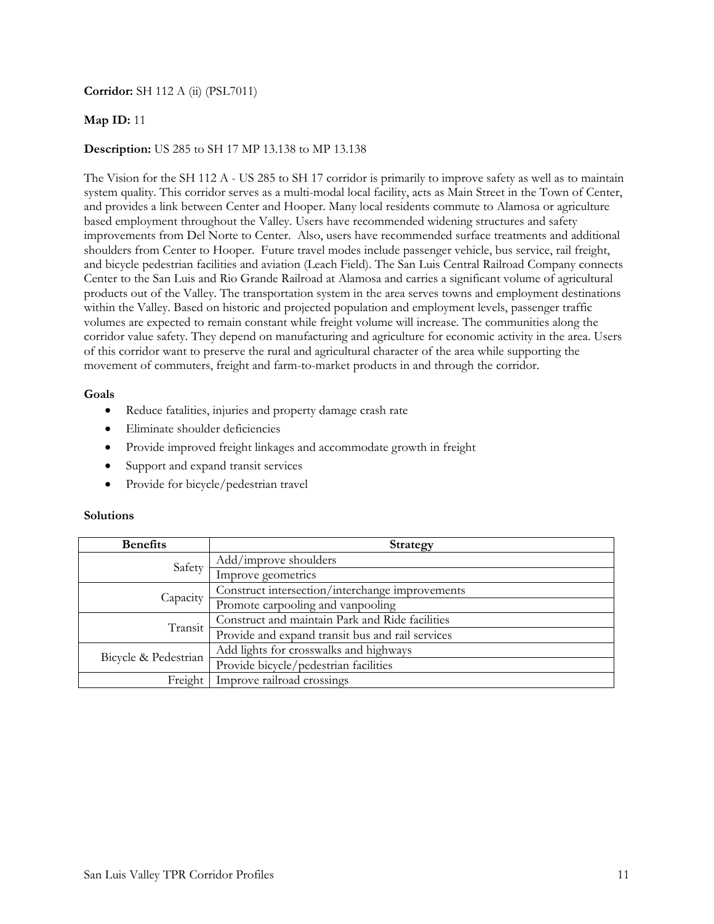# **Corridor:** SH 112 A (ii) (PSL7011)

## **Map ID:** 11

### **Description:** US 285 to SH 17 MP 13.138 to MP 13.138

The Vision for the SH 112 A - US 285 to SH 17 corridor is primarily to improve safety as well as to maintain system quality. This corridor serves as a multi-modal local facility, acts as Main Street in the Town of Center, and provides a link between Center and Hooper. Many local residents commute to Alamosa or agriculture based employment throughout the Valley. Users have recommended widening structures and safety improvements from Del Norte to Center. Also, users have recommended surface treatments and additional shoulders from Center to Hooper.Future travel modes include passenger vehicle, bus service, rail freight, and bicycle pedestrian facilities and aviation (Leach Field). The San Luis Central Railroad Company connects Center to the San Luis and Rio Grande Railroad at Alamosa and carries a significant volume of agricultural products out of the Valley. The transportation system in the area serves towns and employment destinations within the Valley. Based on historic and projected population and employment levels, passenger traffic volumes are expected to remain constant while freight volume will increase. The communities along the corridor value safety. They depend on manufacturing and agriculture for economic activity in the area. Users of this corridor want to preserve the rural and agricultural character of the area while supporting the movement of commuters, freight and farm-to-market products in and through the corridor.

### **Goals**

- Reduce fatalities, injuries and property damage crash rate
- Eliminate shoulder deficiencies
- Provide improved freight linkages and accommodate growth in freight
- Support and expand transit services
- Provide for bicycle/pedestrian travel

| <b>Benefits</b>      | <b>Strategy</b>                                  |
|----------------------|--------------------------------------------------|
| Safety               | Add/improve shoulders                            |
|                      | Improve geometrics                               |
| Capacity             | Construct intersection/interchange improvements  |
|                      | Promote carpooling and vanpooling                |
| Transit              | Construct and maintain Park and Ride facilities  |
|                      | Provide and expand transit bus and rail services |
| Bicycle & Pedestrian | Add lights for crosswalks and highways           |
|                      | Provide bicycle/pedestrian facilities            |
| Freight              | Improve railroad crossings                       |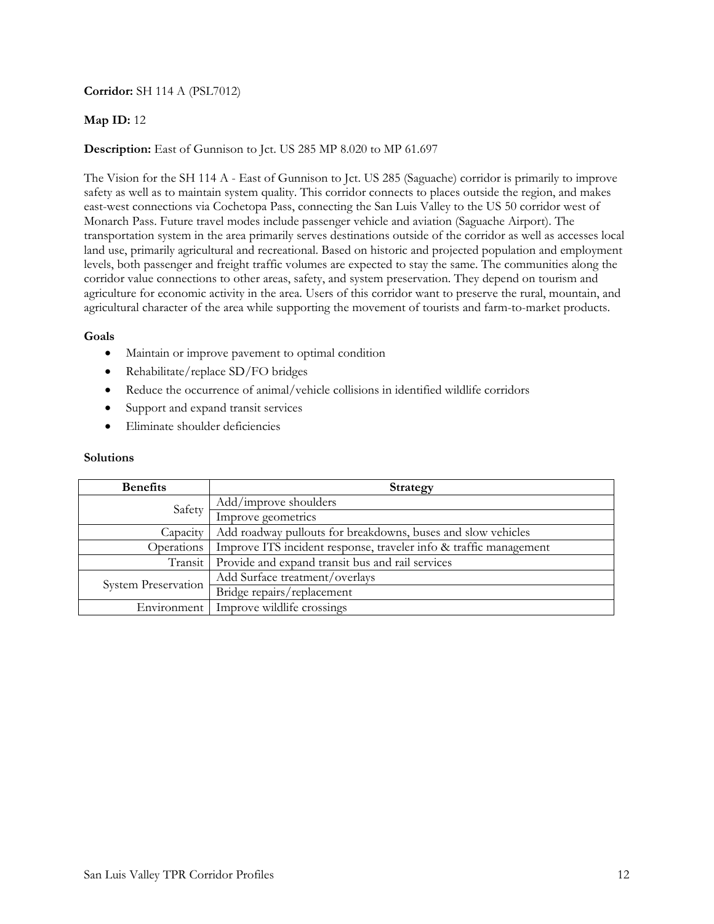# **Corridor:** SH 114 A (PSL7012)

# **Map ID:** 12

# **Description:** East of Gunnison to Jct. US 285 MP 8.020 to MP 61.697

The Vision for the SH 114 A - East of Gunnison to Jct. US 285 (Saguache) corridor is primarily to improve safety as well as to maintain system quality. This corridor connects to places outside the region, and makes east-west connections via Cochetopa Pass, connecting the San Luis Valley to the US 50 corridor west of Monarch Pass. Future travel modes include passenger vehicle and aviation (Saguache Airport). The transportation system in the area primarily serves destinations outside of the corridor as well as accesses local land use, primarily agricultural and recreational. Based on historic and projected population and employment levels, both passenger and freight traffic volumes are expected to stay the same. The communities along the corridor value connections to other areas, safety, and system preservation. They depend on tourism and agriculture for economic activity in the area. Users of this corridor want to preserve the rural, mountain, and agricultural character of the area while supporting the movement of tourists and farm-to-market products.

## **Goals**

- Maintain or improve pavement to optimal condition
- Rehabilitate/replace SD/FO bridges
- Reduce the occurrence of animal/vehicle collisions in identified wildlife corridors
- Support and expand transit services
- Eliminate shoulder deficiencies

| <b>Benefits</b>     | <b>Strategy</b>                                                   |
|---------------------|-------------------------------------------------------------------|
| Safety              | Add/improve shoulders                                             |
|                     | Improve geometrics                                                |
| Capacity            | Add roadway pullouts for breakdowns, buses and slow vehicles      |
| Operations          | Improve ITS incident response, traveler info & traffic management |
| Transit             | Provide and expand transit bus and rail services                  |
| System Preservation | Add Surface treatment/overlays                                    |
|                     | Bridge repairs/replacement                                        |
| Environment         | Improve wildlife crossings                                        |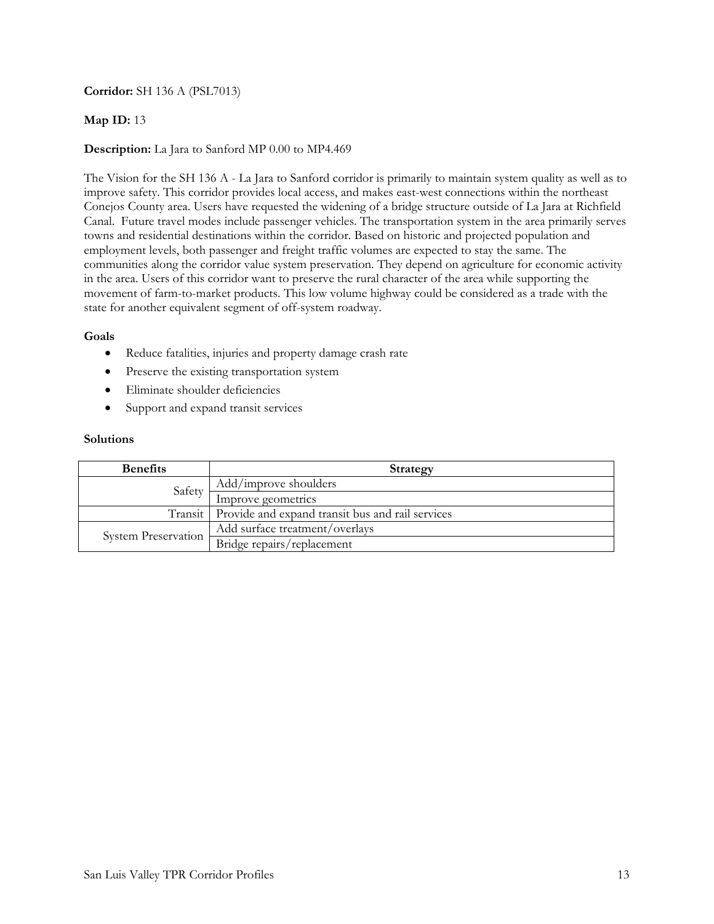# **Corridor:** SH 136 A (PSL7013)

## **Map ID:** 13

## **Description:** La Jara to Sanford MP 0.00 to MP4.469

The Vision for the SH 136 A - La Jara to Sanford corridor is primarily to maintain system quality as well as to improve safety. This corridor provides local access, and makes east-west connections within the northeast Conejos County area. Users have requested the widening of a bridge structure outside of La Jara at Richfield Canal. Future travel modes include passenger vehicles. The transportation system in the area primarily serves towns and residential destinations within the corridor. Based on historic and projected population and employment levels, both passenger and freight traffic volumes are expected to stay the same. The communities along the corridor value system preservation. They depend on agriculture for economic activity in the area. Users of this corridor want to preserve the rural character of the area while supporting the movement of farm-to-market products. This low volume highway could be considered as a trade with the state for another equivalent segment of off-system roadway.

## **Goals**

- Reduce fatalities, injuries and property damage crash rate
- Preserve the existing transportation system
- Eliminate shoulder deficiencies
- Support and expand transit services

| <b>Benefits</b>            | Strategy                                                   |
|----------------------------|------------------------------------------------------------|
| Safety                     | Add/improve shoulders                                      |
|                            | Improve geometrics                                         |
|                            | Transit   Provide and expand transit bus and rail services |
| <b>System Preservation</b> | Add surface treatment/overlays                             |
|                            | Bridge repairs/replacement                                 |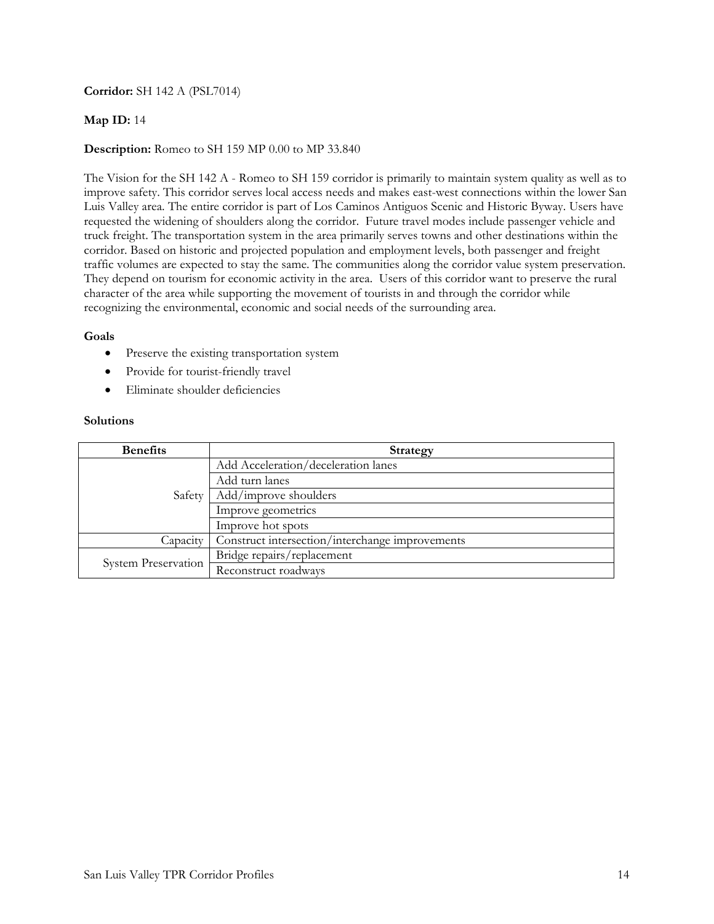# **Corridor:** SH 142 A (PSL7014)

## **Map ID:** 14

## **Description:** Romeo to SH 159 MP 0.00 to MP 33.840

The Vision for the SH 142 A - Romeo to SH 159 corridor is primarily to maintain system quality as well as to improve safety. This corridor serves local access needs and makes east-west connections within the lower San Luis Valley area. The entire corridor is part of Los Caminos Antiguos Scenic and Historic Byway. Users have requested the widening of shoulders along the corridor. Future travel modes include passenger vehicle and truck freight. The transportation system in the area primarily serves towns and other destinations within the corridor. Based on historic and projected population and employment levels, both passenger and freight traffic volumes are expected to stay the same. The communities along the corridor value system preservation. They depend on tourism for economic activity in the area. Users of this corridor want to preserve the rural character of the area while supporting the movement of tourists in and through the corridor while recognizing the environmental, economic and social needs of the surrounding area.

### **Goals**

- Preserve the existing transportation system
- Provide for tourist-friendly travel
- Eliminate shoulder deficiencies

| <b>Benefits</b>     | <b>Strategy</b>                                 |
|---------------------|-------------------------------------------------|
| Safety              | Add Acceleration/deceleration lanes             |
|                     | Add turn lanes                                  |
|                     | Add/improve shoulders                           |
|                     | Improve geometrics                              |
|                     | Improve hot spots                               |
| Capacity            | Construct intersection/interchange improvements |
| System Preservation | Bridge repairs/replacement                      |
|                     | Reconstruct roadways                            |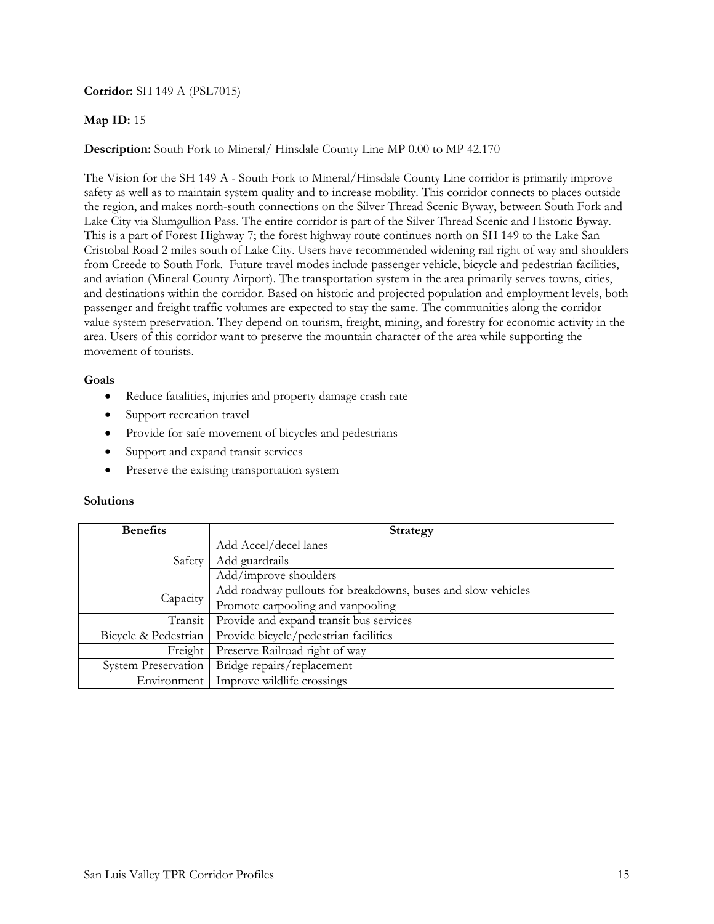## **Corridor:** SH 149 A (PSL7015)

### **Map ID:** 15

**Description:** South Fork to Mineral/ Hinsdale County Line MP 0.00 to MP 42.170

The Vision for the SH 149 A - South Fork to Mineral/Hinsdale County Line corridor is primarily improve safety as well as to maintain system quality and to increase mobility. This corridor connects to places outside the region, and makes north-south connections on the Silver Thread Scenic Byway, between South Fork and Lake City via Slumgullion Pass. The entire corridor is part of the Silver Thread Scenic and Historic Byway. This is a part of Forest Highway 7; the forest highway route continues north on SH 149 to the Lake San Cristobal Road 2 miles south of Lake City. Users have recommended widening rail right of way and shoulders from Creede to South Fork. Future travel modes include passenger vehicle, bicycle and pedestrian facilities, and aviation (Mineral County Airport). The transportation system in the area primarily serves towns, cities, and destinations within the corridor. Based on historic and projected population and employment levels, both passenger and freight traffic volumes are expected to stay the same. The communities along the corridor value system preservation. They depend on tourism, freight, mining, and forestry for economic activity in the area. Users of this corridor want to preserve the mountain character of the area while supporting the movement of tourists.

### **Goals**

- Reduce fatalities, injuries and property damage crash rate
- Support recreation travel
- Provide for safe movement of bicycles and pedestrians
- Support and expand transit services
- Preserve the existing transportation system

| <b>Benefits</b>            | <b>Strategy</b>                                              |
|----------------------------|--------------------------------------------------------------|
| Safety                     | Add Accel/decel lanes                                        |
|                            | Add guardrails                                               |
|                            | Add/improve shoulders                                        |
| Capacity                   | Add roadway pullouts for breakdowns, buses and slow vehicles |
|                            | Promote carpooling and vanpooling                            |
| Transit                    | Provide and expand transit bus services                      |
| Bicycle & Pedestrian       | Provide bicycle/pedestrian facilities                        |
| Freight                    | Preserve Railroad right of way                               |
| <b>System Preservation</b> | Bridge repairs/replacement                                   |
| Environment                | Improve wildlife crossings                                   |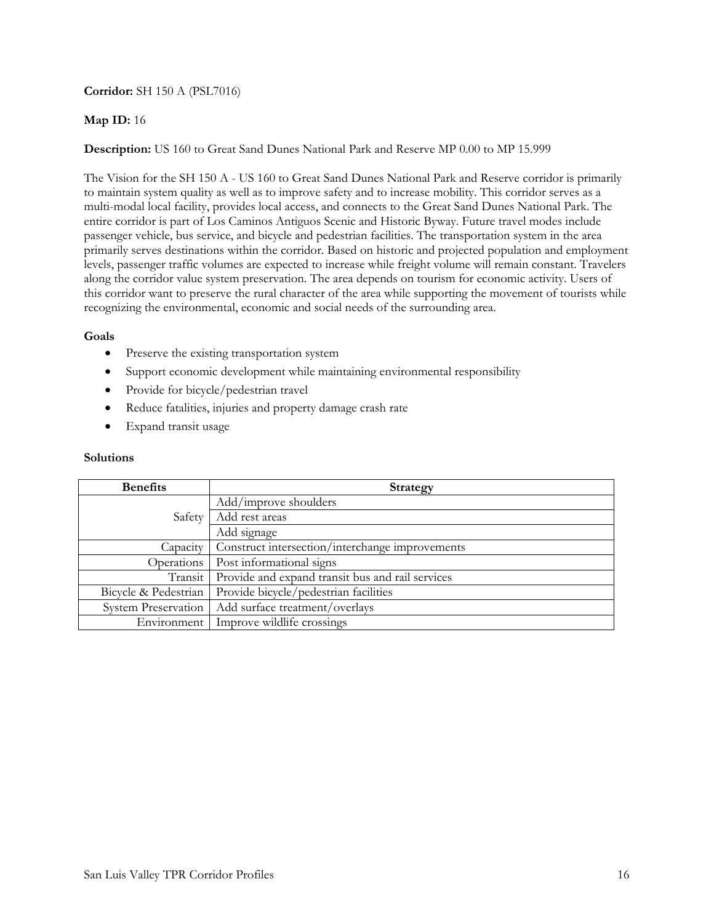# **Corridor:** SH 150 A (PSL7016)

# **Map ID:** 16

**Description:** US 160 to Great Sand Dunes National Park and Reserve MP 0.00 to MP 15.999

The Vision for the SH 150 A - US 160 to Great Sand Dunes National Park and Reserve corridor is primarily to maintain system quality as well as to improve safety and to increase mobility. This corridor serves as a multi-modal local facility, provides local access, and connects to the Great Sand Dunes National Park. The entire corridor is part of Los Caminos Antiguos Scenic and Historic Byway. Future travel modes include passenger vehicle, bus service, and bicycle and pedestrian facilities. The transportation system in the area primarily serves destinations within the corridor. Based on historic and projected population and employment levels, passenger traffic volumes are expected to increase while freight volume will remain constant. Travelers along the corridor value system preservation. The area depends on tourism for economic activity. Users of this corridor want to preserve the rural character of the area while supporting the movement of tourists while recognizing the environmental, economic and social needs of the surrounding area.

# **Goals**

- Preserve the existing transportation system
- Support economic development while maintaining environmental responsibility
- Provide for bicycle/pedestrian travel
- Reduce fatalities, injuries and property damage crash rate
- Expand transit usage

| <b>Benefits</b>            | <b>Strategy</b>                                  |
|----------------------------|--------------------------------------------------|
| Safety                     | Add/improve shoulders                            |
|                            | Add rest areas                                   |
|                            | Add signage                                      |
| Capacity                   | Construct intersection/interchange improvements  |
| Operations                 | Post informational signs                         |
| Transit                    | Provide and expand transit bus and rail services |
| Bicycle & Pedestrian       | Provide bicycle/pedestrian facilities            |
| <b>System Preservation</b> | Add surface treatment/overlays                   |
| Environment                | Improve wildlife crossings                       |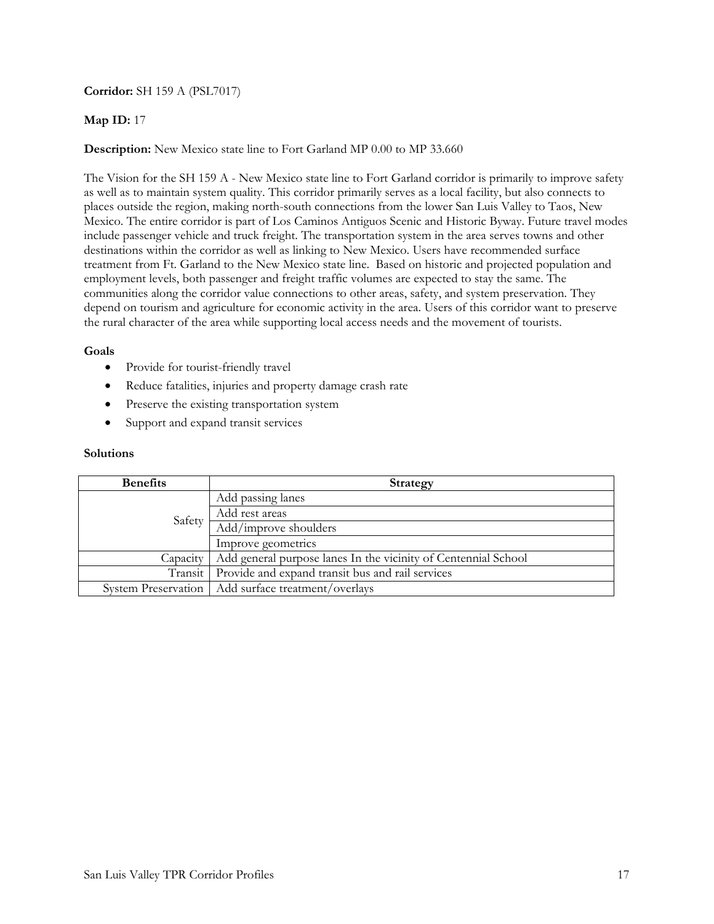# **Corridor:** SH 159 A (PSL7017)

# **Map ID:** 17

## **Description:** New Mexico state line to Fort Garland MP 0.00 to MP 33.660

The Vision for the SH 159 A - New Mexico state line to Fort Garland corridor is primarily to improve safety as well as to maintain system quality. This corridor primarily serves as a local facility, but also connects to places outside the region, making north-south connections from the lower San Luis Valley to Taos, New Mexico. The entire corridor is part of Los Caminos Antiguos Scenic and Historic Byway. Future travel modes include passenger vehicle and truck freight. The transportation system in the area serves towns and other destinations within the corridor as well as linking to New Mexico. Users have recommended surface treatment from Ft. Garland to the New Mexico state line. Based on historic and projected population and employment levels, both passenger and freight traffic volumes are expected to stay the same. The communities along the corridor value connections to other areas, safety, and system preservation. They depend on tourism and agriculture for economic activity in the area. Users of this corridor want to preserve the rural character of the area while supporting local access needs and the movement of tourists.

### **Goals**

- Provide for tourist-friendly travel
- Reduce fatalities, injuries and property damage crash rate
- Preserve the existing transportation system
- Support and expand transit services

| <b>Benefits</b> | <b>Strategy</b>                                                |
|-----------------|----------------------------------------------------------------|
| Safety          | Add passing lanes                                              |
|                 | Add rest areas                                                 |
|                 | Add/improve shoulders                                          |
|                 | Improve geometrics                                             |
| Capacity        | Add general purpose lanes In the vicinity of Centennial School |
|                 | Transit   Provide and expand transit bus and rail services     |
|                 | System Preservation   Add surface treatment/overlays           |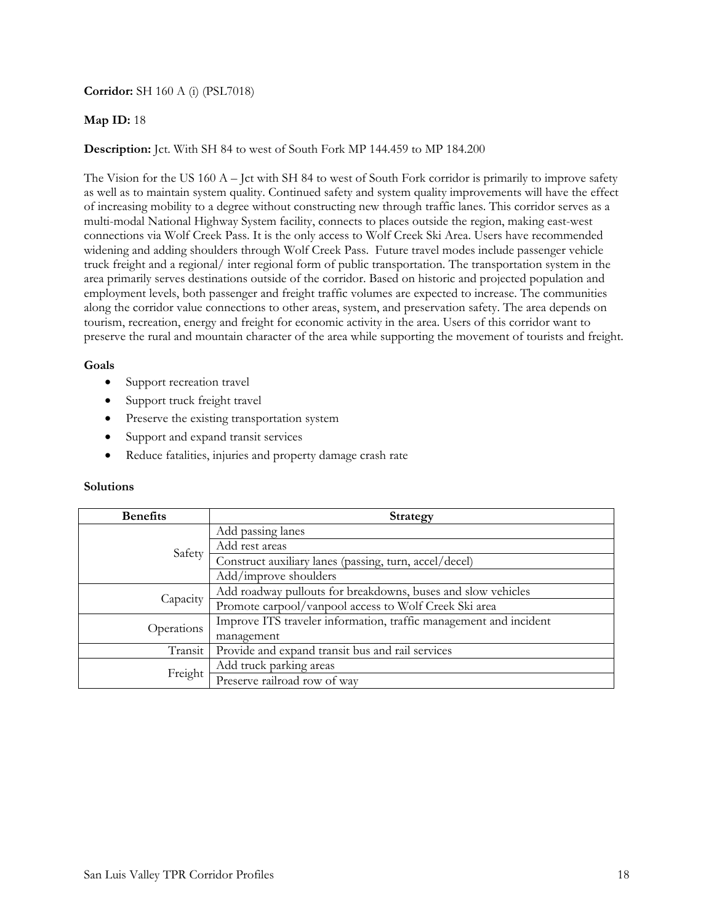**Corridor:** SH 160 A (i) (PSL7018)

## **Map ID:** 18

## **Description:** Jct. With SH 84 to west of South Fork MP 144.459 to MP 184.200

The Vision for the US 160 A – Jct with SH 84 to west of South Fork corridor is primarily to improve safety as well as to maintain system quality. Continued safety and system quality improvements will have the effect of increasing mobility to a degree without constructing new through traffic lanes. This corridor serves as a multi-modal National Highway System facility, connects to places outside the region, making east-west connections via Wolf Creek Pass. It is the only access to Wolf Creek Ski Area. Users have recommended widening and adding shoulders through Wolf Creek Pass. Future travel modes include passenger vehicle truck freight and a regional/ inter regional form of public transportation. The transportation system in the area primarily serves destinations outside of the corridor. Based on historic and projected population and employment levels, both passenger and freight traffic volumes are expected to increase. The communities along the corridor value connections to other areas, system, and preservation safety. The area depends on tourism, recreation, energy and freight for economic activity in the area. Users of this corridor want to preserve the rural and mountain character of the area while supporting the movement of tourists and freight.

### **Goals**

- Support recreation travel
- Support truck freight travel
- Preserve the existing transportation system
- Support and expand transit services
- Reduce fatalities, injuries and property damage crash rate

| <b>Benefits</b> | <b>Strategy</b>                                                   |
|-----------------|-------------------------------------------------------------------|
| Safety          | Add passing lanes                                                 |
|                 | Add rest areas                                                    |
|                 | Construct auxiliary lanes (passing, turn, accel/decel)            |
|                 | Add/improve shoulders                                             |
| Capacity        | Add roadway pullouts for breakdowns, buses and slow vehicles      |
|                 | Promote carpool/vanpool access to Wolf Creek Ski area             |
| Operations      | Improve ITS traveler information, traffic management and incident |
|                 | management                                                        |
| Transit         | Provide and expand transit bus and rail services                  |
| Freight         | Add truck parking areas                                           |
|                 | Preserve railroad row of way                                      |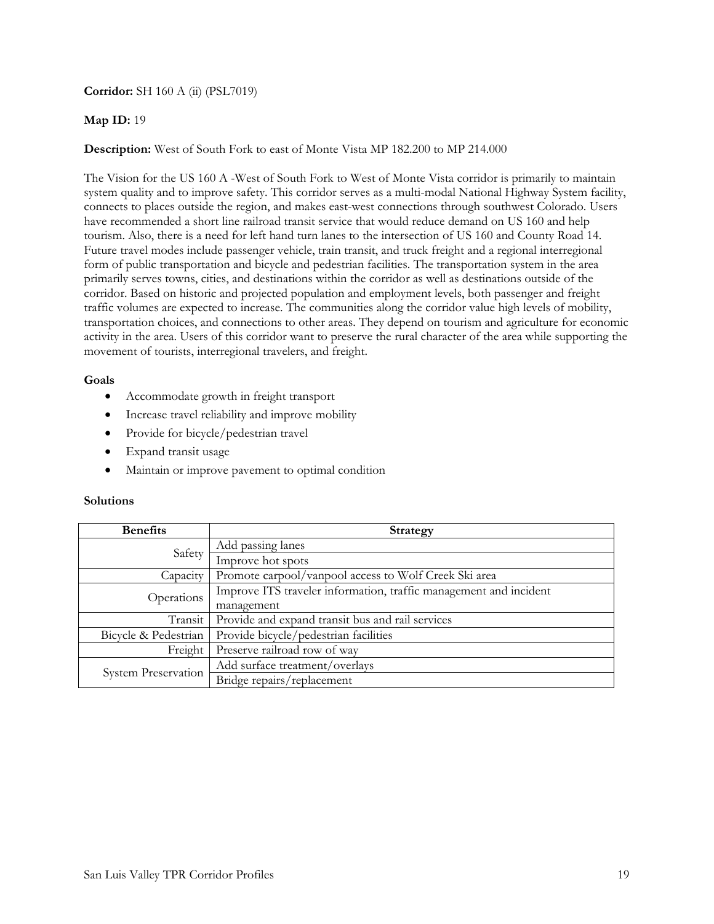## **Corridor:** SH 160 A (ii) (PSL7019)

## **Map ID:** 19

## **Description:** West of South Fork to east of Monte Vista MP 182.200 to MP 214.000

The Vision for the US 160 A -West of South Fork to West of Monte Vista corridor is primarily to maintain system quality and to improve safety. This corridor serves as a multi-modal National Highway System facility, connects to places outside the region, and makes east-west connections through southwest Colorado. Users have recommended a short line railroad transit service that would reduce demand on US 160 and help tourism. Also, there is a need for left hand turn lanes to the intersection of US 160 and County Road 14. Future travel modes include passenger vehicle, train transit, and truck freight and a regional interregional form of public transportation and bicycle and pedestrian facilities. The transportation system in the area primarily serves towns, cities, and destinations within the corridor as well as destinations outside of the corridor. Based on historic and projected population and employment levels, both passenger and freight traffic volumes are expected to increase. The communities along the corridor value high levels of mobility, transportation choices, and connections to other areas. They depend on tourism and agriculture for economic activity in the area. Users of this corridor want to preserve the rural character of the area while supporting the movement of tourists, interregional travelers, and freight.

### **Goals**

- Accommodate growth in freight transport
- Increase travel reliability and improve mobility
- Provide for bicycle/pedestrian travel
- Expand transit usage
- Maintain or improve pavement to optimal condition

| <b>Benefits</b>      | <b>Strategy</b>                                                   |
|----------------------|-------------------------------------------------------------------|
| Safety               | Add passing lanes                                                 |
|                      | Improve hot spots                                                 |
| Capacity             | Promote carpool/vanpool access to Wolf Creek Ski area             |
| Operations           | Improve ITS traveler information, traffic management and incident |
|                      | management                                                        |
| Transit              | Provide and expand transit bus and rail services                  |
| Bicycle & Pedestrian | Provide bicycle/pedestrian facilities                             |
| Freight              | Preserve railroad row of way                                      |
| System Preservation  | Add surface treatment/overlays                                    |
|                      | Bridge repairs/replacement                                        |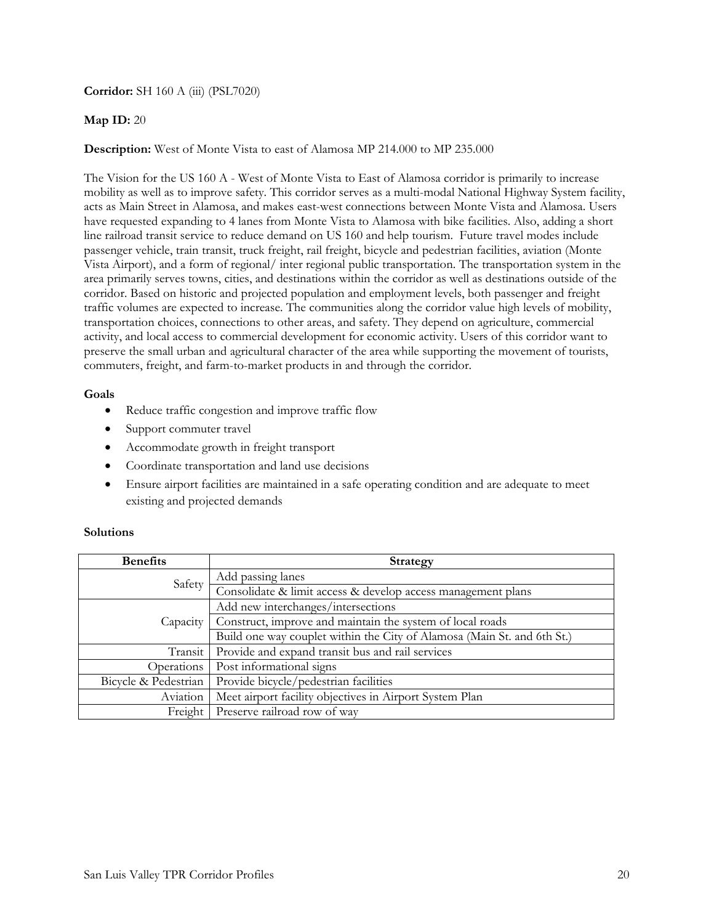**Corridor:** SH 160 A (iii) (PSL7020)

## **Map ID:** 20

**Description:** West of Monte Vista to east of Alamosa MP 214.000 to MP 235.000

The Vision for the US 160 A - West of Monte Vista to East of Alamosa corridor is primarily to increase mobility as well as to improve safety. This corridor serves as a multi-modal National Highway System facility, acts as Main Street in Alamosa, and makes east-west connections between Monte Vista and Alamosa. Users have requested expanding to 4 lanes from Monte Vista to Alamosa with bike facilities. Also, adding a short line railroad transit service to reduce demand on US 160 and help tourism.Future travel modes include passenger vehicle, train transit, truck freight, rail freight, bicycle and pedestrian facilities, aviation (Monte Vista Airport), and a form of regional/ inter regional public transportation. The transportation system in the area primarily serves towns, cities, and destinations within the corridor as well as destinations outside of the corridor. Based on historic and projected population and employment levels, both passenger and freight traffic volumes are expected to increase. The communities along the corridor value high levels of mobility, transportation choices, connections to other areas, and safety. They depend on agriculture, commercial activity, and local access to commercial development for economic activity. Users of this corridor want to preserve the small urban and agricultural character of the area while supporting the movement of tourists, commuters, freight, and farm-to-market products in and through the corridor.

### **Goals**

- Reduce traffic congestion and improve traffic flow
- Support commuter travel
- Accommodate growth in freight transport
- Coordinate transportation and land use decisions
- Ensure airport facilities are maintained in a safe operating condition and are adequate to meet existing and projected demands

| <b>Benefits</b>      | <b>Strategy</b>                                                         |
|----------------------|-------------------------------------------------------------------------|
| Safety               | Add passing lanes                                                       |
|                      | Consolidate & limit access & develop access management plans            |
| Capacity             | Add new interchanges/intersections                                      |
|                      | Construct, improve and maintain the system of local roads               |
|                      | Build one way couplet within the City of Alamosa (Main St. and 6th St.) |
| Transit              | Provide and expand transit bus and rail services                        |
| Operations           | Post informational signs                                                |
| Bicycle & Pedestrian | Provide bicycle/pedestrian facilities                                   |
| Aviation             | Meet airport facility objectives in Airport System Plan                 |
| Freight              | Preserve railroad row of way                                            |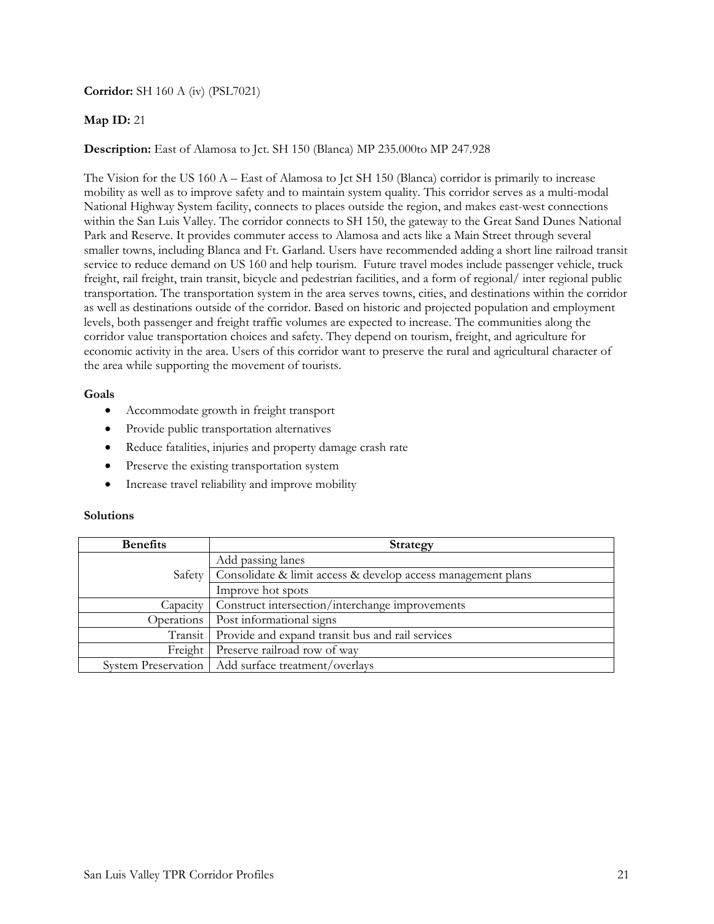**Corridor:** SH 160 A (iv) (PSL7021)

# **Map ID:** 21

# **Description:** East of Alamosa to Jct. SH 150 (Blanca) MP 235.000to MP 247.928

The Vision for the US 160 A – East of Alamosa to Jct SH 150 (Blanca) corridor is primarily to increase mobility as well as to improve safety and to maintain system quality. This corridor serves as a multi-modal National Highway System facility, connects to places outside the region, and makes east-west connections within the San Luis Valley. The corridor connects to SH 150, the gateway to the Great Sand Dunes National Park and Reserve. It provides commuter access to Alamosa and acts like a Main Street through several smaller towns, including Blanca and Ft. Garland. Users have recommended adding a short line railroad transit service to reduce demand on US 160 and help tourism.Future travel modes include passenger vehicle, truck freight, rail freight, train transit, bicycle and pedestrian facilities, and a form of regional/ inter regional public transportation. The transportation system in the area serves towns, cities, and destinations within the corridor as well as destinations outside of the corridor. Based on historic and projected population and employment levels, both passenger and freight traffic volumes are expected to increase. The communities along the corridor value transportation choices and safety. They depend on tourism, freight, and agriculture for economic activity in the area. Users of this corridor want to preserve the rural and agricultural character of the area while supporting the movement of tourists.

## **Goals**

- Accommodate growth in freight transport
- Provide public transportation alternatives
- Reduce fatalities, injuries and property damage crash rate
- Preserve the existing transportation system
- Increase travel reliability and improve mobility

| <b>Benefits</b>            | <b>Strategy</b>                                              |
|----------------------------|--------------------------------------------------------------|
| Safety                     | Add passing lanes                                            |
|                            | Consolidate & limit access & develop access management plans |
|                            | Improve hot spots                                            |
| Capacity                   | Construct intersection/interchange improvements              |
| Operations                 | Post informational signs                                     |
| Transit                    | Provide and expand transit bus and rail services             |
| Freight                    | Preserve railroad row of way                                 |
| <b>System Preservation</b> | Add surface treatment/overlays                               |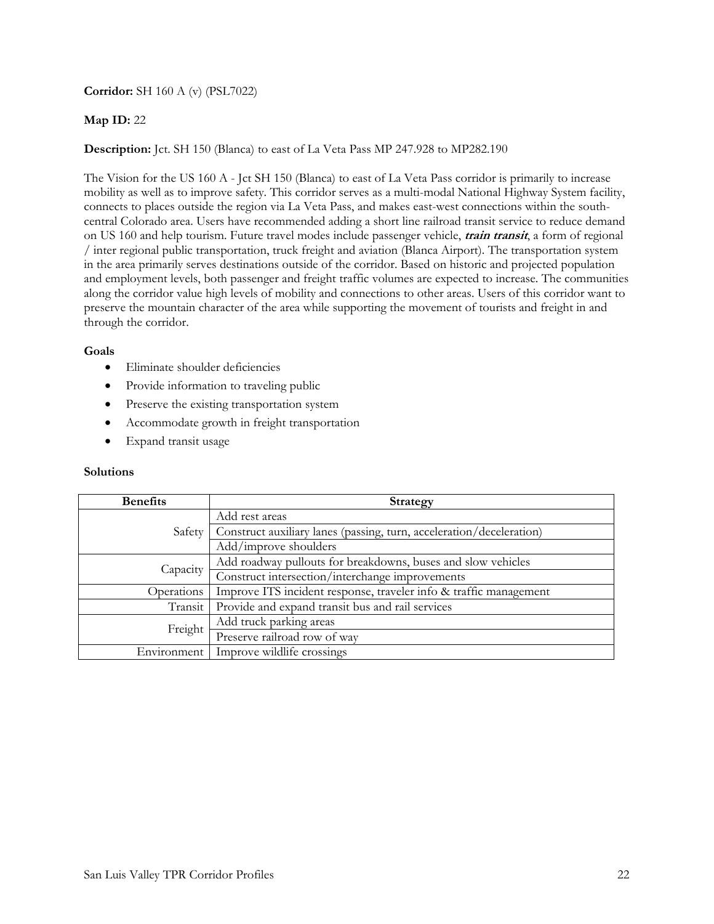# **Corridor:** SH 160 A (v) (PSL7022)

# **Map ID:** 22

## **Description:** Jct. SH 150 (Blanca) to east of La Veta Pass MP 247.928 to MP282.190

The Vision for the US 160 A - Jct SH 150 (Blanca) to east of La Veta Pass corridor is primarily to increase mobility as well as to improve safety. This corridor serves as a multi-modal National Highway System facility, connects to places outside the region via La Veta Pass, and makes east-west connections within the southcentral Colorado area. Users have recommended adding a short line railroad transit service to reduce demand on US 160 and help tourism. Future travel modes include passenger vehicle, **train transit**, a form of regional / inter regional public transportation, truck freight and aviation (Blanca Airport). The transportation system in the area primarily serves destinations outside of the corridor. Based on historic and projected population and employment levels, both passenger and freight traffic volumes are expected to increase. The communities along the corridor value high levels of mobility and connections to other areas. Users of this corridor want to preserve the mountain character of the area while supporting the movement of tourists and freight in and through the corridor.

### **Goals**

- Eliminate shoulder deficiencies
- Provide information to traveling public
- Preserve the existing transportation system
- Accommodate growth in freight transportation
- Expand transit usage

| <b>Benefits</b> | <b>Strategy</b>                                                      |
|-----------------|----------------------------------------------------------------------|
| Safety          | Add rest areas                                                       |
|                 | Construct auxiliary lanes (passing, turn, acceleration/deceleration) |
|                 | Add/improve shoulders                                                |
| Capacity        | Add roadway pullouts for breakdowns, buses and slow vehicles         |
|                 | Construct intersection/interchange improvements                      |
| Operations      | Improve ITS incident response, traveler info & traffic management    |
| Transit         | Provide and expand transit bus and rail services                     |
| Freight         | Add truck parking areas                                              |
|                 | Preserve railroad row of way                                         |
| Environment     | Improve wildlife crossings                                           |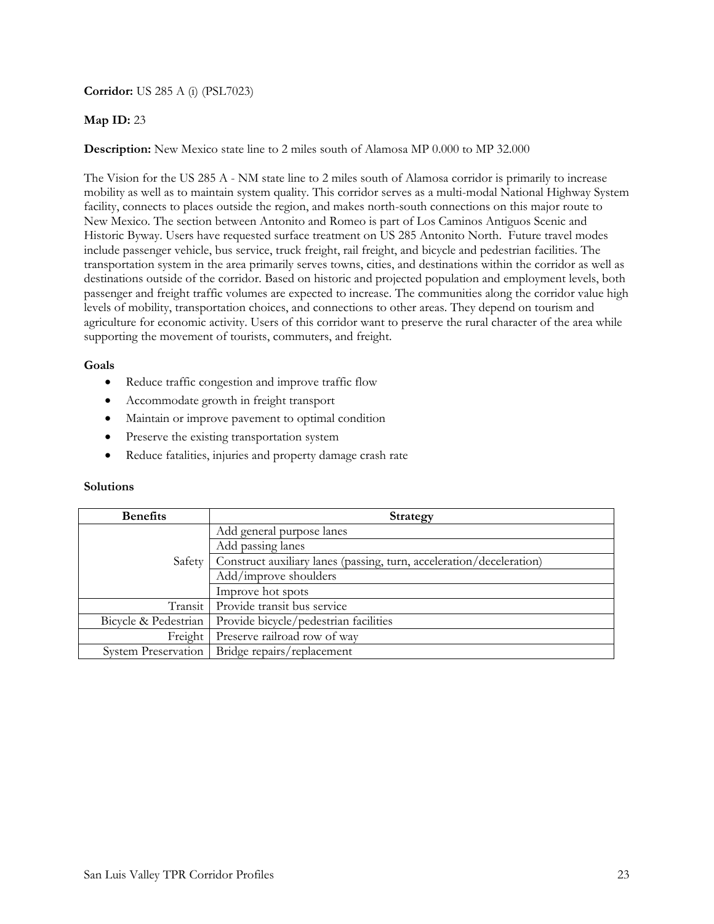**Corridor:** US 285 A (i) (PSL7023)

## **Map ID:** 23

**Description:** New Mexico state line to 2 miles south of Alamosa MP 0.000 to MP 32.000

The Vision for the US 285 A - NM state line to 2 miles south of Alamosa corridor is primarily to increase mobility as well as to maintain system quality. This corridor serves as a multi-modal National Highway System facility, connects to places outside the region, and makes north-south connections on this major route to New Mexico. The section between Antonito and Romeo is part of Los Caminos Antiguos Scenic and Historic Byway. Users have requested surface treatment on US 285 Antonito North. Future travel modes include passenger vehicle, bus service, truck freight, rail freight, and bicycle and pedestrian facilities. The transportation system in the area primarily serves towns, cities, and destinations within the corridor as well as destinations outside of the corridor. Based on historic and projected population and employment levels, both passenger and freight traffic volumes are expected to increase. The communities along the corridor value high levels of mobility, transportation choices, and connections to other areas. They depend on tourism and agriculture for economic activity. Users of this corridor want to preserve the rural character of the area while supporting the movement of tourists, commuters, and freight.

## **Goals**

- Reduce traffic congestion and improve traffic flow
- Accommodate growth in freight transport
- Maintain or improve pavement to optimal condition
- Preserve the existing transportation system
- Reduce fatalities, injuries and property damage crash rate

| <b>Benefits</b>            | <b>Strategy</b>                                                      |
|----------------------------|----------------------------------------------------------------------|
| Safety                     | Add general purpose lanes                                            |
|                            | Add passing lanes                                                    |
|                            | Construct auxiliary lanes (passing, turn, acceleration/deceleration) |
|                            | Add/improve shoulders                                                |
|                            | Improve hot spots                                                    |
| Transit l                  | Provide transit bus service                                          |
| Bicycle & Pedestrian       | Provide bicycle/pedestrian facilities                                |
| Freight                    | Preserve railroad row of way                                         |
| <b>System Preservation</b> | Bridge repairs/replacement                                           |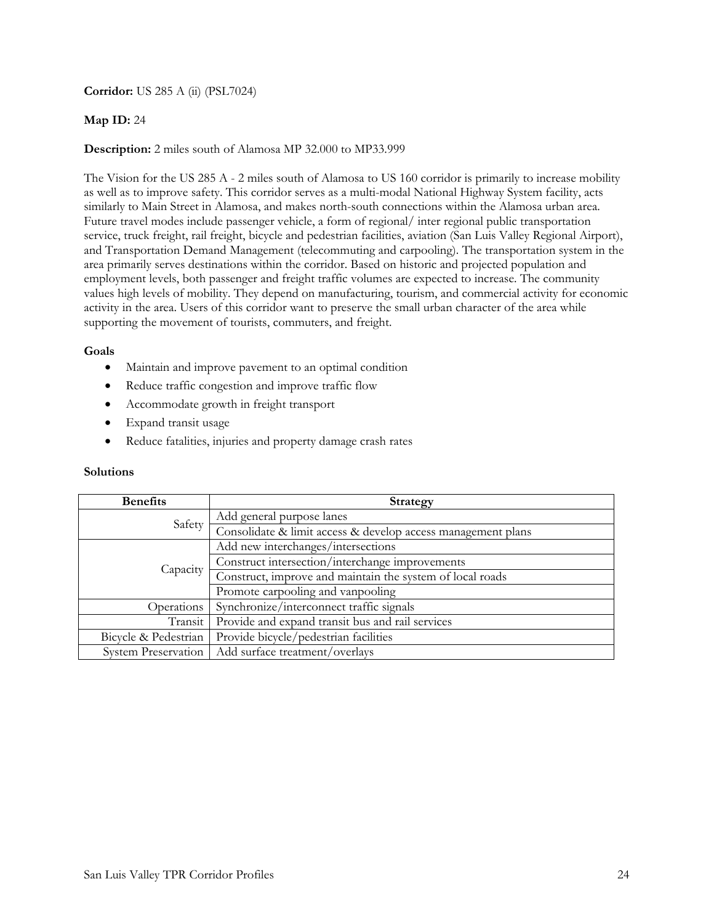**Corridor:** US 285 A (ii) (PSL7024)

## **Map ID:** 24

### **Description:** 2 miles south of Alamosa MP 32.000 to MP33.999

The Vision for the US 285 A - 2 miles south of Alamosa to US 160 corridor is primarily to increase mobility as well as to improve safety. This corridor serves as a multi-modal National Highway System facility, acts similarly to Main Street in Alamosa, and makes north-south connections within the Alamosa urban area. Future travel modes include passenger vehicle, a form of regional/ inter regional public transportation service, truck freight, rail freight, bicycle and pedestrian facilities, aviation (San Luis Valley Regional Airport), and Transportation Demand Management (telecommuting and carpooling). The transportation system in the area primarily serves destinations within the corridor. Based on historic and projected population and employment levels, both passenger and freight traffic volumes are expected to increase. The community values high levels of mobility. They depend on manufacturing, tourism, and commercial activity for economic activity in the area. Users of this corridor want to preserve the small urban character of the area while supporting the movement of tourists, commuters, and freight.

### **Goals**

- Maintain and improve pavement to an optimal condition
- Reduce traffic congestion and improve traffic flow
- Accommodate growth in freight transport
- Expand transit usage
- Reduce fatalities, injuries and property damage crash rates

| <b>Benefits</b>            | <b>Strategy</b>                                              |
|----------------------------|--------------------------------------------------------------|
| Safety                     | Add general purpose lanes                                    |
|                            | Consolidate & limit access & develop access management plans |
|                            | Add new interchanges/intersections                           |
|                            | Construct intersection/interchange improvements              |
| Capacity                   | Construct, improve and maintain the system of local roads    |
|                            | Promote carpooling and vanpooling                            |
| Operations                 | Synchronize/interconnect traffic signals                     |
| Transit                    | Provide and expand transit bus and rail services             |
| Bicycle & Pedestrian       | Provide bicycle/pedestrian facilities                        |
| <b>System Preservation</b> | Add surface treatment/overlays                               |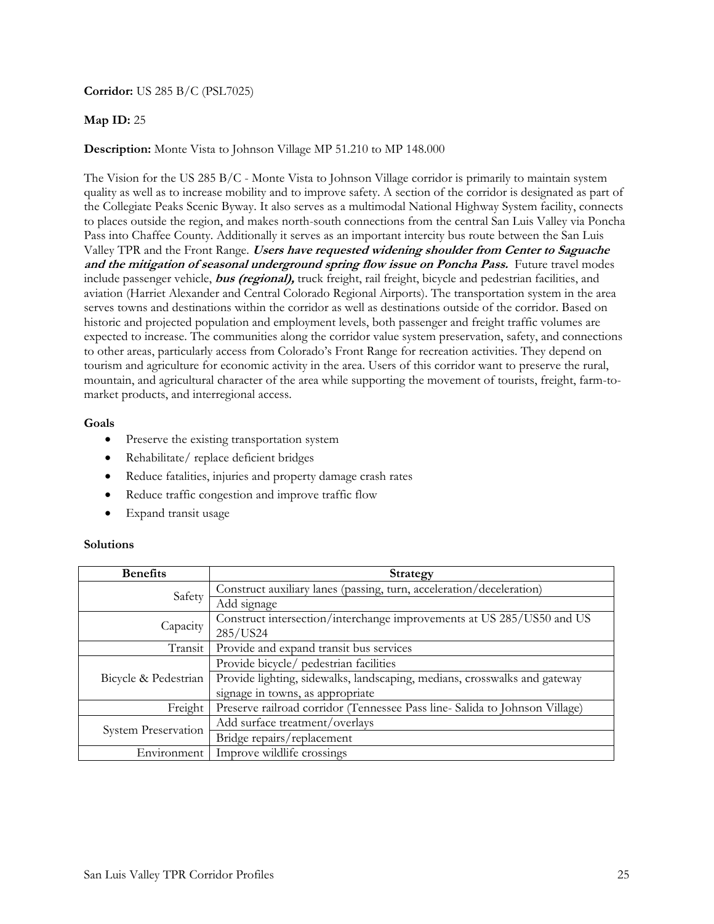**Corridor:** US 285 B/C (PSL7025)

# **Map ID:** 25

**Description:** Monte Vista to Johnson Village MP 51.210 to MP 148.000

The Vision for the US 285 B/C - Monte Vista to Johnson Village corridor is primarily to maintain system quality as well as to increase mobility and to improve safety. A section of the corridor is designated as part of the Collegiate Peaks Scenic Byway. It also serves as a multimodal National Highway System facility, connects to places outside the region, and makes north-south connections from the central San Luis Valley via Poncha Pass into Chaffee County. Additionally it serves as an important intercity bus route between the San Luis Valley TPR and the Front Range. **Users have requested widening shoulder from Center to Saguache and the mitigation of seasonal underground spring flow issue on Poncha Pass.** Future travel modes include passenger vehicle, **bus (regional),** truck freight, rail freight, bicycle and pedestrian facilities, and aviation (Harriet Alexander and Central Colorado Regional Airports). The transportation system in the area serves towns and destinations within the corridor as well as destinations outside of the corridor. Based on historic and projected population and employment levels, both passenger and freight traffic volumes are expected to increase. The communities along the corridor value system preservation, safety, and connections to other areas, particularly access from Colorado's Front Range for recreation activities. They depend on tourism and agriculture for economic activity in the area. Users of this corridor want to preserve the rural, mountain, and agricultural character of the area while supporting the movement of tourists, freight, farm-tomarket products, and interregional access.

## **Goals**

- Preserve the existing transportation system
- Rehabilitate/ replace deficient bridges
- Reduce fatalities, injuries and property damage crash rates
- Reduce traffic congestion and improve traffic flow
- Expand transit usage

| <b>Benefits</b>            | <b>Strategy</b>                                                            |
|----------------------------|----------------------------------------------------------------------------|
| Safety                     | Construct auxiliary lanes (passing, turn, acceleration/deceleration)       |
|                            | Add signage                                                                |
| Capacity                   | Construct intersection/interchange improvements at US 285/US50 and US      |
|                            | 285/US24                                                                   |
| Transit                    | Provide and expand transit bus services                                    |
| Bicycle & Pedestrian       | Provide bicycle/ pedestrian facilities                                     |
|                            | Provide lighting, sidewalks, landscaping, medians, crosswalks and gateway  |
|                            | signage in towns, as appropriate                                           |
| Freight                    | Preserve railroad corridor (Tennessee Pass line-Salida to Johnson Village) |
| <b>System Preservation</b> | Add surface treatment/overlays                                             |
|                            | Bridge repairs/replacement                                                 |
| Environment                | Improve wildlife crossings                                                 |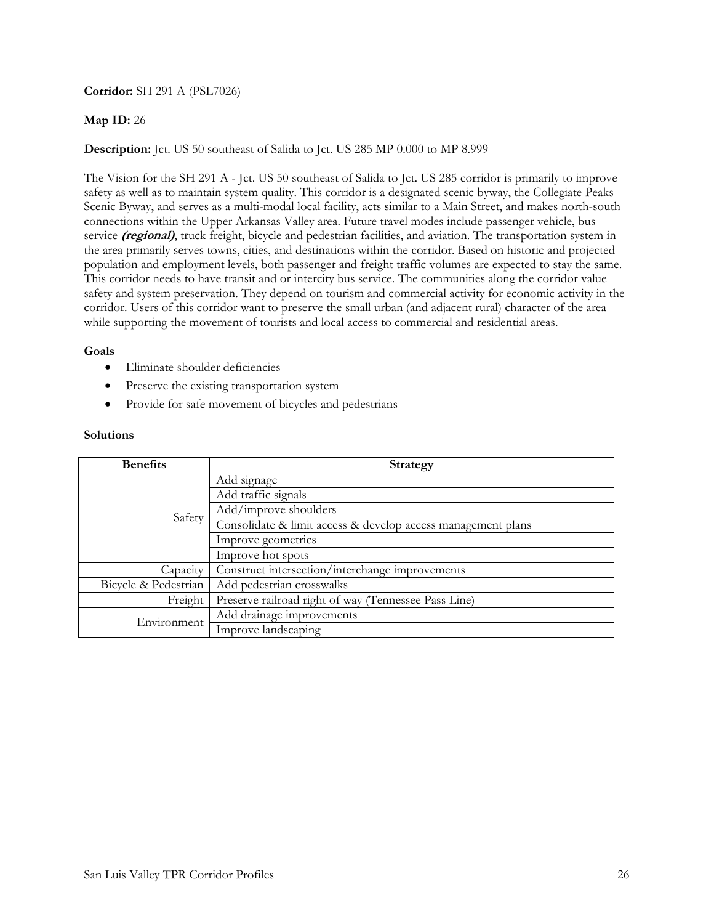## **Corridor:** SH 291 A (PSL7026)

# **Map ID:** 26

## **Description:** Jct. US 50 southeast of Salida to Jct. US 285 MP 0.000 to MP 8.999

The Vision for the SH 291 A - Jct. US 50 southeast of Salida to Jct. US 285 corridor is primarily to improve safety as well as to maintain system quality. This corridor is a designated scenic byway, the Collegiate Peaks Scenic Byway, and serves as a multi-modal local facility, acts similar to a Main Street, and makes north-south connections within the Upper Arkansas Valley area. Future travel modes include passenger vehicle, bus service *(regional)*, truck freight, bicycle and pedestrian facilities, and aviation. The transportation system in the area primarily serves towns, cities, and destinations within the corridor. Based on historic and projected population and employment levels, both passenger and freight traffic volumes are expected to stay the same. This corridor needs to have transit and or intercity bus service. The communities along the corridor value safety and system preservation. They depend on tourism and commercial activity for economic activity in the corridor. Users of this corridor want to preserve the small urban (and adjacent rural) character of the area while supporting the movement of tourists and local access to commercial and residential areas.

### **Goals**

- Eliminate shoulder deficiencies
- Preserve the existing transportation system
- Provide for safe movement of bicycles and pedestrians

| <b>Benefits</b>      | <b>Strategy</b>                                              |
|----------------------|--------------------------------------------------------------|
| Safety               | Add signage                                                  |
|                      | Add traffic signals                                          |
|                      | Add/improve shoulders                                        |
|                      | Consolidate & limit access & develop access management plans |
|                      | Improve geometrics                                           |
|                      | Improve hot spots                                            |
| Capacity             | Construct intersection/interchange improvements              |
| Bicycle & Pedestrian | Add pedestrian crosswalks                                    |
| Freight              | Preserve railroad right of way (Tennessee Pass Line)         |
| Environment          | Add drainage improvements                                    |
|                      | Improve landscaping                                          |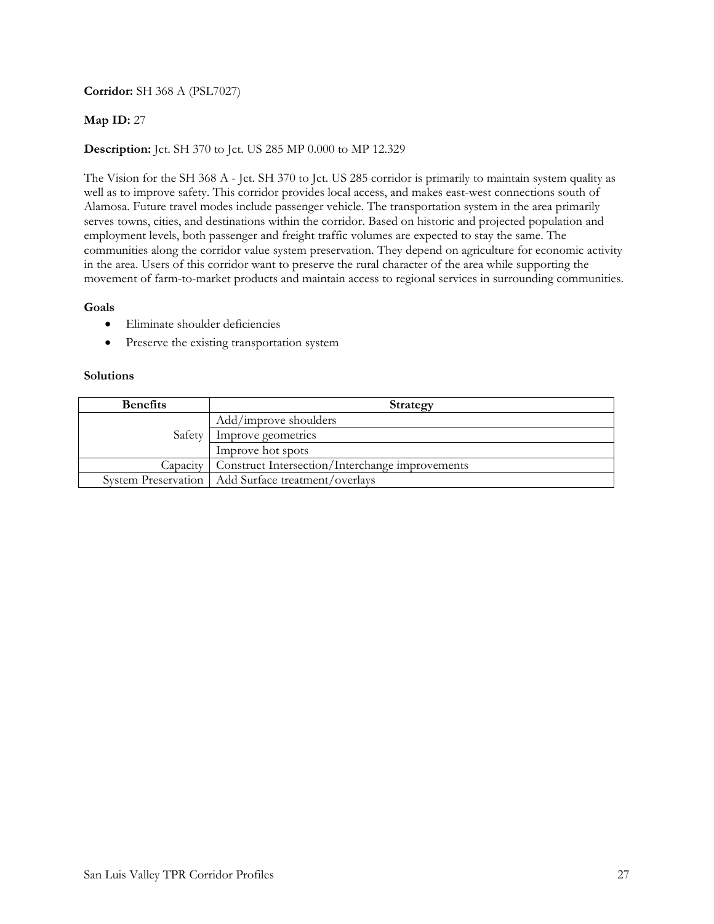# **Corridor:** SH 368 A (PSL7027)

## **Map ID:** 27

# **Description:** Jct. SH 370 to Jct. US 285 MP 0.000 to MP 12.329

The Vision for the SH 368 A - Jct. SH 370 to Jct. US 285 corridor is primarily to maintain system quality as well as to improve safety. This corridor provides local access, and makes east-west connections south of Alamosa. Future travel modes include passenger vehicle. The transportation system in the area primarily serves towns, cities, and destinations within the corridor. Based on historic and projected population and employment levels, both passenger and freight traffic volumes are expected to stay the same. The communities along the corridor value system preservation. They depend on agriculture for economic activity in the area. Users of this corridor want to preserve the rural character of the area while supporting the movement of farm-to-market products and maintain access to regional services in surrounding communities.

### **Goals**

- Eliminate shoulder deficiencies
- Preserve the existing transportation system

| <b>Benefits</b> | Strategy                                                   |
|-----------------|------------------------------------------------------------|
| Safety          | Add/improve shoulders                                      |
|                 | Improve geometrics                                         |
|                 | Improve hot spots                                          |
|                 | Capacity   Construct Intersection/Interchange improvements |
|                 | System Preservation   Add Surface treatment/overlays       |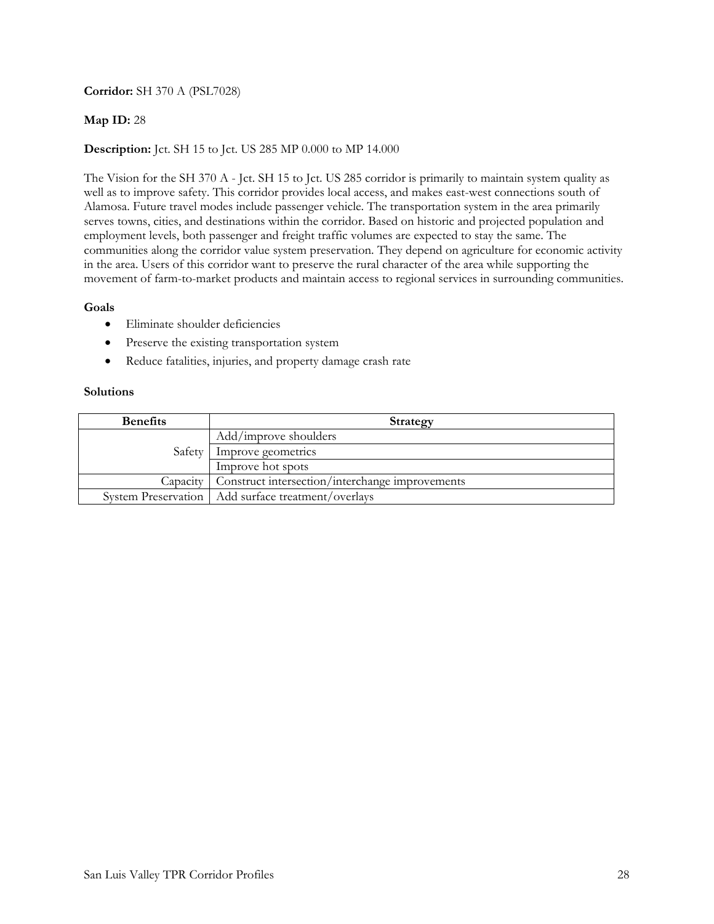# **Corridor:** SH 370 A (PSL7028)

## **Map ID:** 28

# **Description:** Jct. SH 15 to Jct. US 285 MP 0.000 to MP 14.000

The Vision for the SH 370 A - Jct. SH 15 to Jct. US 285 corridor is primarily to maintain system quality as well as to improve safety. This corridor provides local access, and makes east-west connections south of Alamosa. Future travel modes include passenger vehicle. The transportation system in the area primarily serves towns, cities, and destinations within the corridor. Based on historic and projected population and employment levels, both passenger and freight traffic volumes are expected to stay the same. The communities along the corridor value system preservation. They depend on agriculture for economic activity in the area. Users of this corridor want to preserve the rural character of the area while supporting the movement of farm-to-market products and maintain access to regional services in surrounding communities.

## **Goals**

- Eliminate shoulder deficiencies
- Preserve the existing transportation system
- Reduce fatalities, injuries, and property damage crash rate

| <b>Benefits</b> | Strategy                                             |
|-----------------|------------------------------------------------------|
| Safety          | Add/improve shoulders                                |
|                 | Improve geometrics                                   |
|                 | Improve hot spots                                    |
| Capacity        | Construct intersection/interchange improvements      |
|                 | System Preservation   Add surface treatment/overlays |